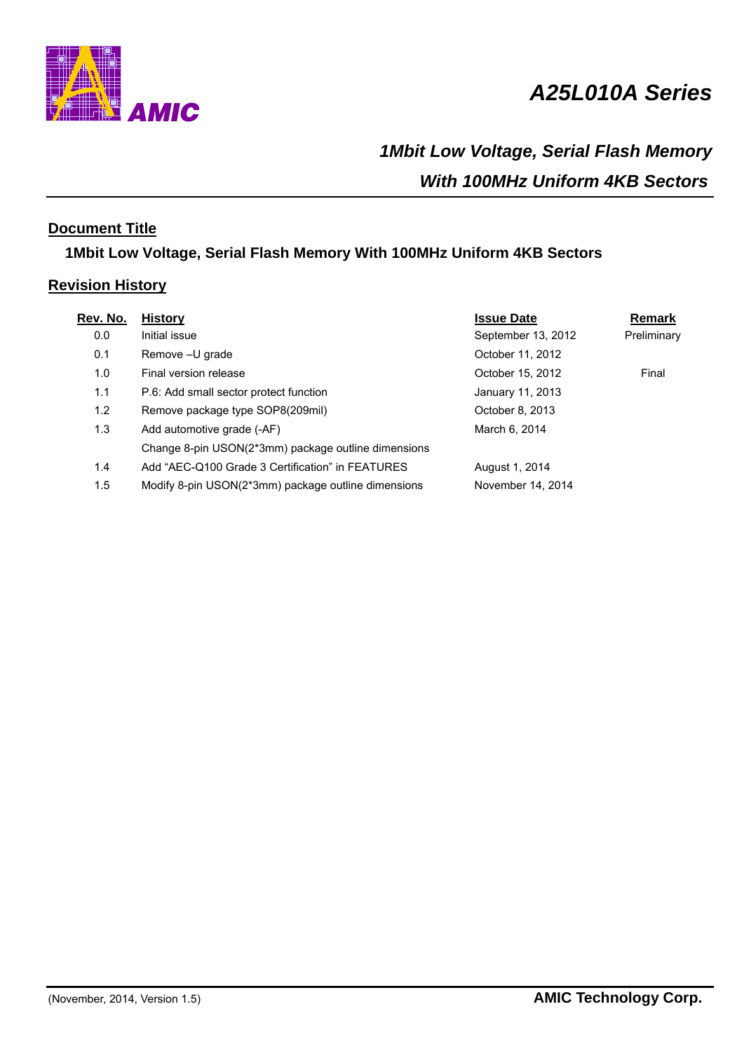

# *A25L010A Series*

# *1Mbit Low Voltage, Serial Flash Memory With 100MHz Uniform 4KB Sectors*

# **Document Title**

# **1Mbit Low Voltage, Serial Flash Memory With 100MHz Uniform 4KB Sectors**

# **Revision History**

| Rev. No. | <b>History</b>                                      | <b>Issue Date</b>  | <b>Remark</b> |
|----------|-----------------------------------------------------|--------------------|---------------|
| 0.0      | Initial issue                                       | September 13, 2012 | Preliminary   |
| 0.1      | Remove - U grade                                    | October 11, 2012   |               |
| 1.0      | Final version release                               | October 15, 2012   | Final         |
| 1.1      | P.6: Add small sector protect function              | January 11, 2013   |               |
| 1.2      | Remove package type SOP8(209mil)                    | October 8, 2013    |               |
| 1.3      | Add automotive grade (-AF)                          | March 6, 2014      |               |
|          | Change 8-pin USON(2*3mm) package outline dimensions |                    |               |
| 1.4      | Add "AEC-Q100 Grade 3 Certification" in FEATURES    | August 1, 2014     |               |
| 1.5      | Modify 8-pin USON(2*3mm) package outline dimensions | November 14, 2014  |               |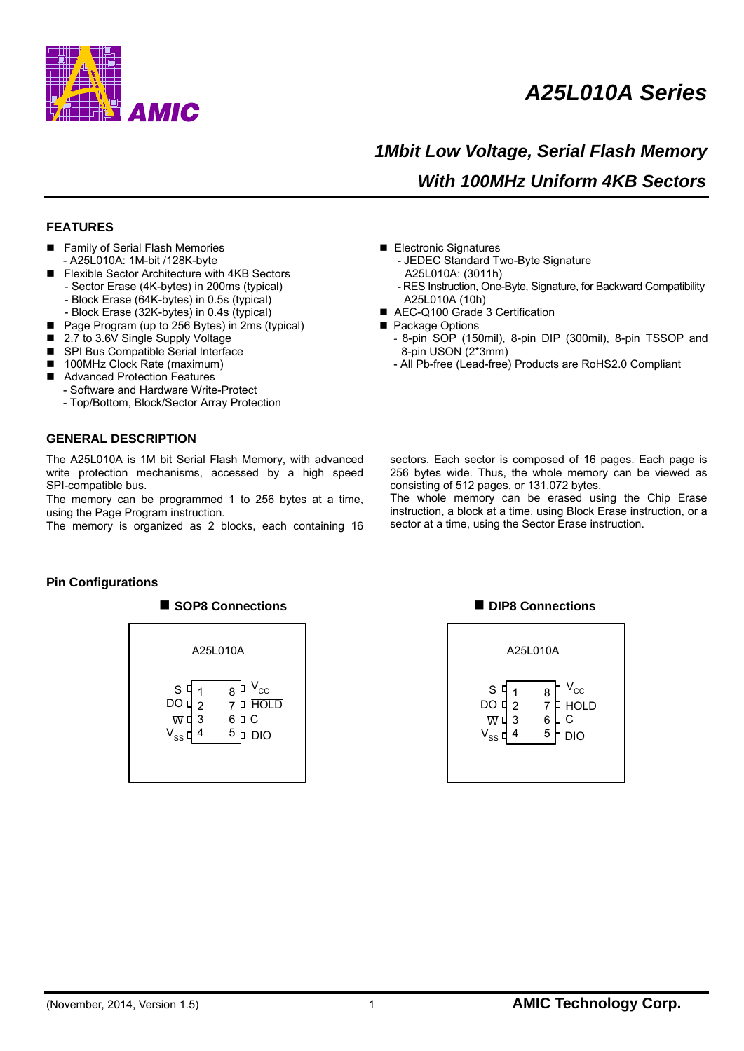

# *A25L010A Series*

# *1Mbit Low Voltage, Serial Flash Memory With 100MHz Uniform 4KB Sectors*

#### **FEATURES**

- Family of Serial Flash Memories - A25L010A: 1M-bit /128K-byte
- Flexible Sector Architecture with 4KB Sectors - Sector Erase (4K-bytes) in 200ms (typical) - Block Erase (64K-bytes) in 0.5s (typical)
- Block Erase (32K-bytes) in 0.4s (typical)
- Page Program (up to 256 Bytes) in 2ms (typical)
- 2.7 to 3.6V Single Supply Voltage
- SPI Bus Compatible Serial Interface
- 100MHz Clock Rate (maximum)
- Advanced Protection Features
- Software and Hardware Write-Protect
	- Top/Bottom, Block/Sector Array Protection

#### **GENERAL DESCRIPTION**

The A25L010A is 1M bit Serial Flash Memory, with advanced write protection mechanisms, accessed by a high speed SPI-compatible bus.

The memory can be programmed 1 to 256 bytes at a time, using the Page Program instruction.

The memory is organized as 2 blocks, each containing 16

- Electronic Signatures
	- JEDEC Standard Two-Byte Signature
	- A25L010A: (3011h)
	- RES Instruction, One-Byte, Signature, for Backward Compatibility A25L010A (10h)
- AEC-Q100 Grade 3 Certification
- Package Options
	- 8-pin SOP (150mil), 8-pin DIP (300mil), 8-pin TSSOP and 8-pin USON (2\*3mm)
	- All Pb-free (Lead-free) Products are RoHS2.0 Compliant

sectors. Each sector is composed of 16 pages. Each page is 256 bytes wide. Thus, the whole memory can be viewed as consisting of 512 pages, or 131,072 bytes.

The whole memory can be erased using the Chip Erase instruction, a block at a time, using Block Erase instruction, or a sector at a time, using the Sector Erase instruction.

#### **Pin Configurations**



#### ■ **SOP8 Connections DIP8 Connections**

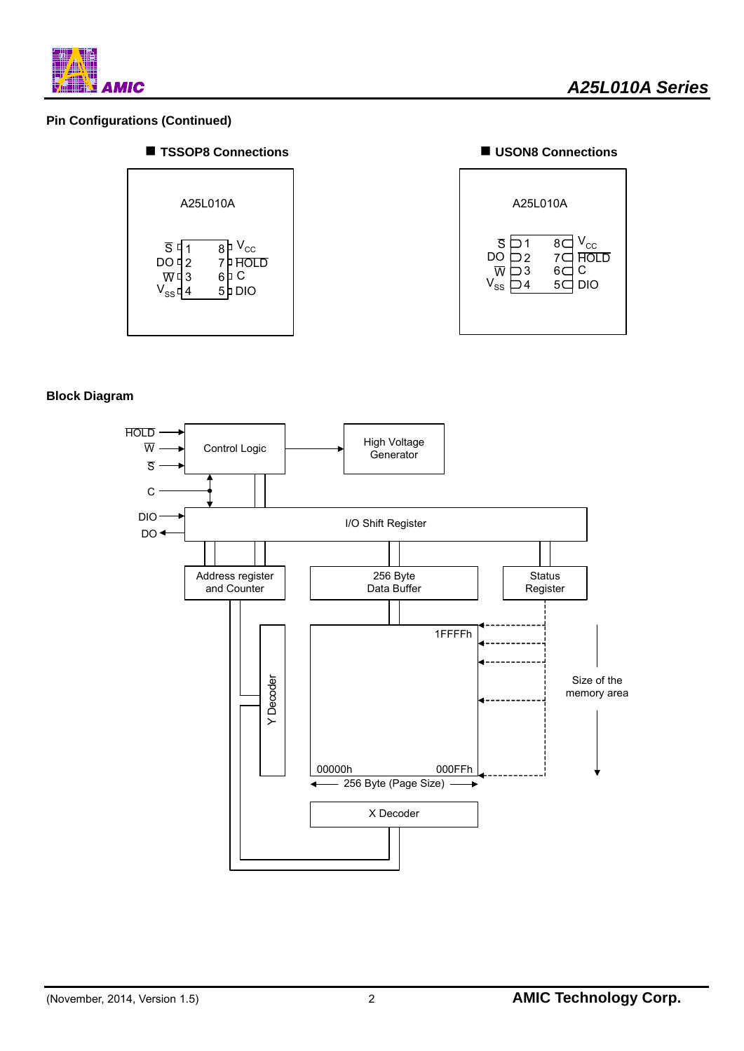

### **Pin Configurations (Continued)**







#### **Block Diagram**

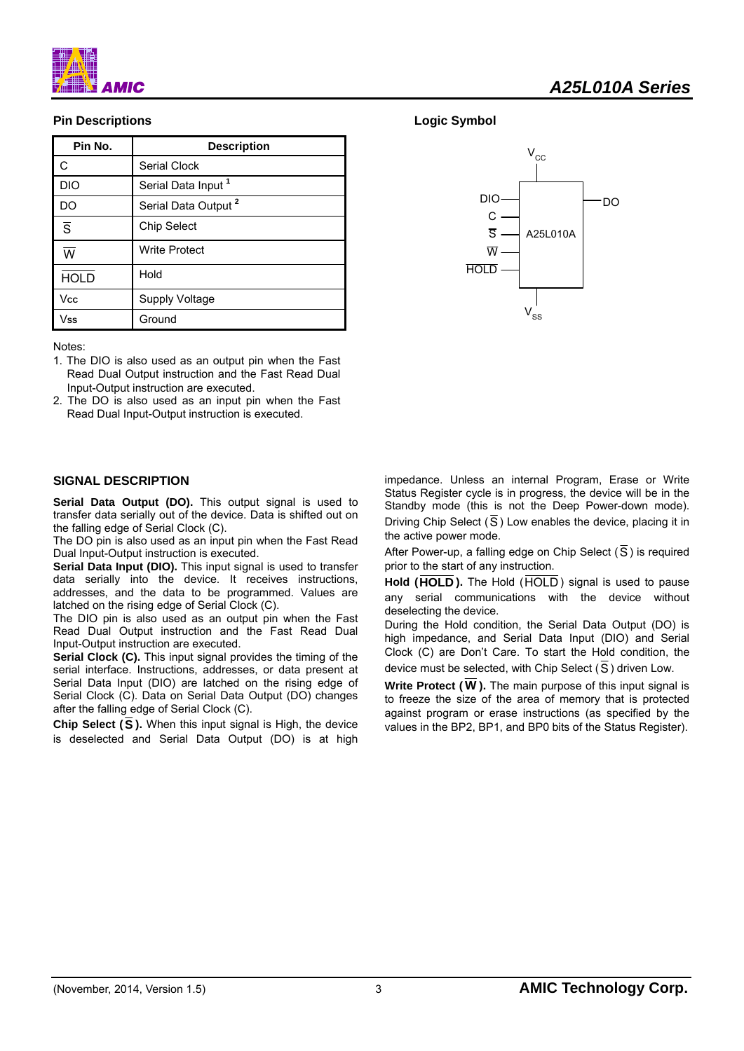

### **Pin Descriptions**

| Pin No.                 | <b>Description</b>              |
|-------------------------|---------------------------------|
| C                       | Serial Clock                    |
| <b>DIO</b>              | Serial Data Input <sup>1</sup>  |
| DO                      | Serial Data Output <sup>2</sup> |
| $\overline{s}$          | <b>Chip Select</b>              |
| $\overline{\mathsf{w}}$ | <b>Write Protect</b>            |
| <b>HOLD</b>             | Hold                            |
| Vcc                     | Supply Voltage                  |
| Vss                     | Ground                          |

Notes:

- 1. The DIO is also used as an output pin when the Fast Read Dual Output instruction and the Fast Read Dual Input-Output instruction are executed.
- 2. The DO is also used as an input pin when the Fast Read Dual Input-Output instruction is executed.

#### **SIGNAL DESCRIPTION**

Serial Data Output (DO). This output signal is used to transfer data serially out of the device. Data is shifted out on the falling edge of Serial Clock (C).

The DO pin is also used as an input pin when the Fast Read Dual Input-Output instruction is executed.

**Serial Data Input (DIO).** This input signal is used to transfer data serially into the device. It receives instructions, addresses, and the data to be programmed. Values are latched on the rising edge of Serial Clock (C).

The DIO pin is also used as an output pin when the Fast Read Dual Output instruction and the Fast Read Dual Input-Output instruction are executed.

**Serial Clock (C).** This input signal provides the timing of the serial interface. Instructions, addresses, or data present at Serial Data Input (DIO) are latched on the rising edge of Serial Clock (C). Data on Serial Data Output (DO) changes after the falling edge of Serial Clock (C).

**Chip Select (S ).** When this input signal is High, the device is deselected and Serial Data Output (DO) is at high

#### **Logic Symbol**



impedance. Unless an internal Program, Erase or Write Status Register cycle is in progress, the device will be in the Standby mode (this is not the Deep Power-down mode). Driving Chip Select (S) Low enables the device, placing it in the active power mode.

After Power-up, a falling edge on Chip Select ( $\overline{S}$ ) is required prior to the start of any instruction.

Hold (HOLD). The Hold (HOLD) signal is used to pause any serial communications with the device without deselecting the device.

During the Hold condition, the Serial Data Output (DO) is high impedance, and Serial Data Input (DIO) and Serial Clock (C) are Don't Care. To start the Hold condition, the device must be selected, with Chip Select ( $\overline{S}$ ) driven Low.

**Write Protect ( W ).** The main purpose of this input signal is to freeze the size of the area of memory that is protected against program or erase instructions (as specified by the values in the BP2, BP1, and BP0 bits of the Status Register).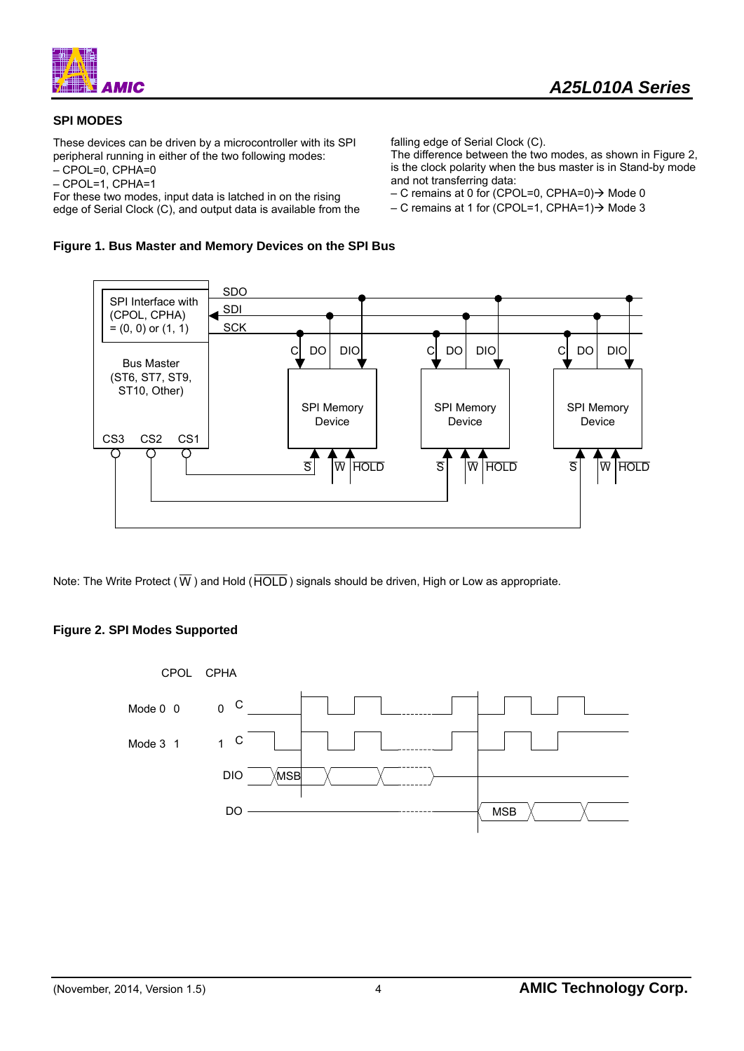

### **SPI MODES**

These devices can be driven by a microcontroller with its SPI peripheral running in either of the two following modes: – CPOL=0, CPHA=0

– CPOL=1, CPHA=1

For these two modes, input data is latched in on the rising edge of Serial Clock (C), and output data is available from the

**Figure 1. Bus Master and Memory Devices on the SPI Bus** 

falling edge of Serial Clock (C).

The difference between the two modes, as shown in Figure 2, is the clock polarity when the bus master is in Stand-by mode and not transferring data:

– C remains at 0 for (CPOL=0, CPHA=0) $\rightarrow$  Mode 0

– C remains at 1 for (CPOL=1, CPHA=1) $\rightarrow$  Mode 3



Note: The Write Protect ( $\overline{W}$ ) and Hold ( $\overline{HOLD}$ ) signals should be driven, High or Low as appropriate.

### **Figure 2. SPI Modes Supported**

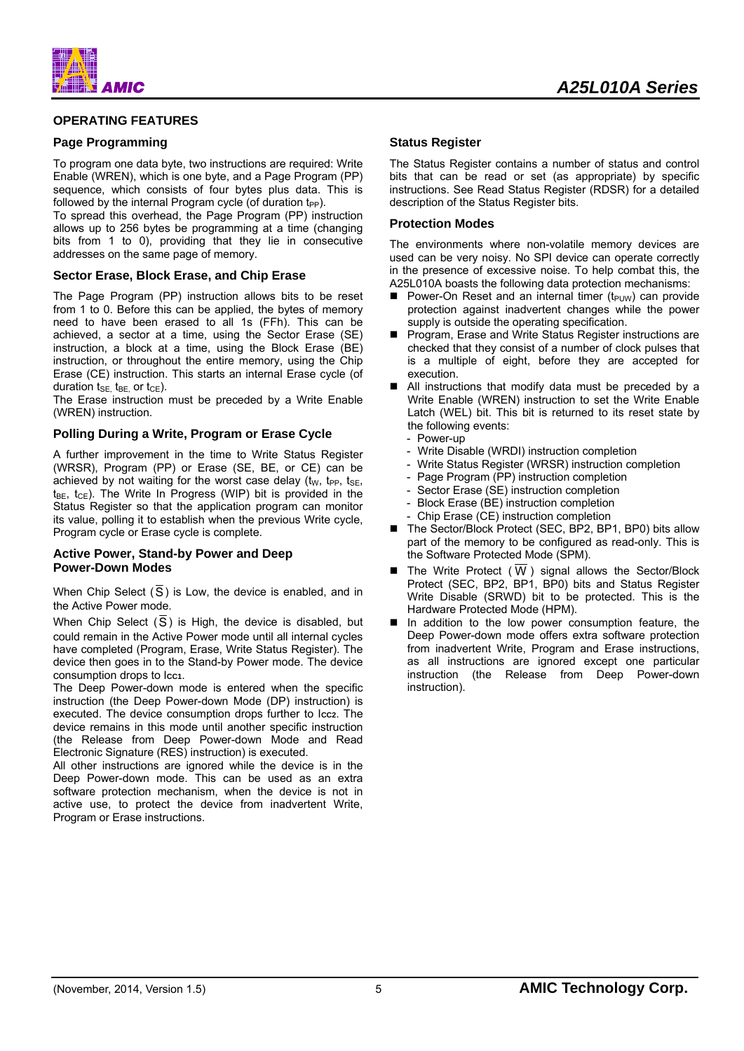

#### **OPERATING FEATURES**

#### **Page Programming**

To program one data byte, two instructions are required: Write Enable (WREN), which is one byte, and a Page Program (PP) sequence, which consists of four bytes plus data. This is followed by the internal Program cycle (of duration  $t_{PP}$ ).

To spread this overhead, the Page Program (PP) instruction allows up to 256 bytes be programming at a time (changing bits from 1 to 0), providing that they lie in consecutive addresses on the same page of memory.

#### **Sector Erase, Block Erase, and Chip Erase**

The Page Program (PP) instruction allows bits to be reset from 1 to 0. Before this can be applied, the bytes of memory need to have been erased to all 1s (FFh). This can be achieved, a sector at a time, using the Sector Erase (SE) instruction, a block at a time, using the Block Erase (BE) instruction, or throughout the entire memory, using the Chip Erase (CE) instruction. This starts an internal Erase cycle (of duration  $t_{\text{SE}}$ ,  $t_{\text{BE}}$  or  $t_{\text{CE}}$ ).

The Erase instruction must be preceded by a Write Enable (WREN) instruction.

#### **Polling During a Write, Program or Erase Cycle**

A further improvement in the time to Write Status Register (WRSR), Program (PP) or Erase (SE, BE, or CE) can be achieved by not waiting for the worst case delay ( $t<sub>W</sub>$ ,  $t<sub>PP</sub>$ ,  $t<sub>SE</sub>$ ,  $t_{BE}$ ,  $t_{CE}$ ). The Write In Progress (WIP) bit is provided in the Status Register so that the application program can monitor its value, polling it to establish when the previous Write cycle, Program cycle or Erase cycle is complete.

#### **Active Power, Stand-by Power and Deep Power-Down Modes**

When Chip Select (S) is Low, the device is enabled, and in the Active Power mode.

When Chip Select (S) is High, the device is disabled, but could remain in the Active Power mode until all internal cycles have completed (Program, Erase, Write Status Register). The device then goes in to the Stand-by Power mode. The device consumption drops to Icc1.

The Deep Power-down mode is entered when the specific instruction (the Deep Power-down Mode (DP) instruction) is executed. The device consumption drops further to Icc2. The device remains in this mode until another specific instruction (the Release from Deep Power-down Mode and Read Electronic Signature (RES) instruction) is executed.

All other instructions are ignored while the device is in the Deep Power-down mode. This can be used as an extra software protection mechanism, when the device is not in active use, to protect the device from inadvertent Write, Program or Erase instructions.

# *A25L010A Series*

#### **Status Register**

The Status Register contains a number of status and control bits that can be read or set (as appropriate) by specific instructions. See Read Status Register (RDSR) for a detailed description of the Status Register bits.

#### **Protection Modes**

The environments where non-volatile memory devices are used can be very noisy. No SPI device can operate correctly in the presence of excessive noise. To help combat this, the A25L010A boasts the following data protection mechanisms:

- **Power-On Reset and an internal timer (t<sub>PUW</sub>) can provide** protection against inadvertent changes while the power supply is outside the operating specification.
- **Program, Erase and Write Status Register instructions are** checked that they consist of a number of clock pulses that is a multiple of eight, before they are accepted for execution.
- All instructions that modify data must be preceded by a Write Enable (WREN) instruction to set the Write Enable Latch (WEL) bit. This bit is returned to its reset state by the following events:
	- Power-up
	- Write Disable (WRDI) instruction completion
	- Write Status Register (WRSR) instruction completion
	- Page Program (PP) instruction completion
	- Sector Erase (SE) instruction completion
	- Block Erase (BE) instruction completion
	- Chip Erase (CE) instruction completion
- The Sector/Block Protect (SEC, BP2, BP1, BP0) bits allow part of the memory to be configured as read-only. This is the Software Protected Mode (SPM).
- The Write Protect (W) signal allows the Sector/Block Protect (SEC, BP2, BP1, BP0) bits and Status Register Write Disable (SRWD) bit to be protected. This is the Hardware Protected Mode (HPM).
- In addition to the low power consumption feature, the Deep Power-down mode offers extra software protection from inadvertent Write, Program and Erase instructions, as all instructions are ignored except one particular instruction (the Release from Deep Power-down instruction).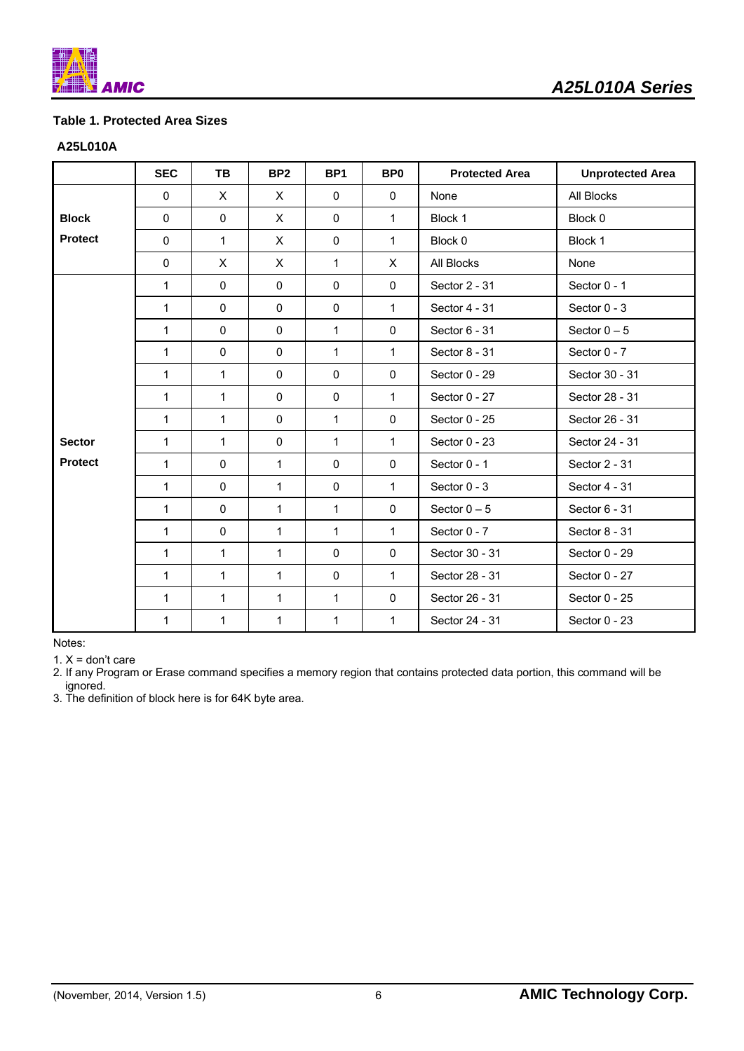

## **Table 1. Protected Area Sizes**

#### **A25L010A**

|                | <b>SEC</b>   | TB           | BP <sub>2</sub> | BP <sub>1</sub> | BP <sub>0</sub> | <b>Protected Area</b> | <b>Unprotected Area</b> |
|----------------|--------------|--------------|-----------------|-----------------|-----------------|-----------------------|-------------------------|
|                | 0            | X.           | X               | $\mathbf{0}$    | $\mathbf 0$     | None                  | All Blocks              |
| <b>Block</b>   | 0            | $\mathbf 0$  | X               | $\mathbf{0}$    | $\mathbf{1}$    | Block 1               | Block 0                 |
| <b>Protect</b> | 0            | $\mathbf{1}$ | $\times$        | $\mathbf 0$     | $\mathbf{1}$    | Block 0               | Block 1                 |
|                | $\pmb{0}$    | $\mathsf{X}$ | X               | $\mathbf{1}$    | X               | All Blocks            | None                    |
|                | 1            | $\mathbf 0$  | $\mathbf 0$     | $\mathbf 0$     | $\mathbf 0$     | Sector 2 - 31         | Sector 0 - 1            |
|                | $\mathbf{1}$ | $\mathbf 0$  | $\mathbf 0$     | $\mathbf 0$     | 1               | Sector 4 - 31         | Sector 0 - 3            |
|                | $\mathbf{1}$ | $\mathbf{0}$ | $\mathbf 0$     | $\mathbf{1}$    | $\mathbf 0$     | Sector 6 - 31         | Sector $0-5$            |
|                | $\mathbf{1}$ | $\mathbf 0$  | $\mathbf 0$     | $\mathbf{1}$    | $\mathbf{1}$    | Sector 8 - 31         | Sector 0 - 7            |
|                | $\mathbf{1}$ | 1            | $\mathbf 0$     | $\mathbf 0$     | $\pmb{0}$       | Sector 0 - 29         | Sector 30 - 31          |
|                | 1            | $\mathbf{1}$ | 0               | $\mathbf 0$     | $\mathbf{1}$    | Sector 0 - 27         | Sector 28 - 31          |
|                | $\mathbf{1}$ | $\mathbf{1}$ | $\mathbf 0$     | $\mathbf{1}$    | $\mathbf 0$     | Sector 0 - 25         | Sector 26 - 31          |
| <b>Sector</b>  | $\mathbf{1}$ | $\mathbf{1}$ | 0               | $\mathbf{1}$    | 1               | Sector 0 - 23         | Sector 24 - 31          |
| <b>Protect</b> | $\mathbf{1}$ | $\mathbf 0$  | 1               | $\mathbf 0$     | $\mathbf 0$     | Sector 0 - 1          | Sector 2 - 31           |
|                | $\mathbf{1}$ | 0            | 1               | $\mathbf 0$     | 1               | Sector 0 - 3          | Sector 4 - 31           |
|                | 1            | $\mathbf 0$  | $\mathbf{1}$    | $\mathbf{1}$    | $\mathbf 0$     | Sector $0-5$          | Sector 6 - 31           |
|                | $\mathbf{1}$ | $\mathbf 0$  | 1               | $\mathbf{1}$    | 1               | Sector 0 - 7          | Sector 8 - 31           |
|                | $\mathbf{1}$ | $\mathbf{1}$ | 1               | $\mathbf{0}$    | $\mathbf 0$     | Sector 30 - 31        | Sector 0 - 29           |
|                | $\mathbf{1}$ | $\mathbf 1$  | 1               | $\pmb{0}$       | $\mathbf{1}$    | Sector 28 - 31        | Sector 0 - 27           |
|                | $\mathbf{1}$ | 1            | 1               | $\mathbf{1}$    | $\mathbf 0$     | Sector 26 - 31        | Sector 0 - 25           |
|                | 1            | $\mathbf{1}$ | 1               | $\mathbf{1}$    | 1               | Sector 24 - 31        | Sector 0 - 23           |

Notes:

1.  $X =$  don't care

2. If any Program or Erase command specifies a memory region that contains protected data portion, this command will be ignored.

3. The definition of block here is for 64K byte area.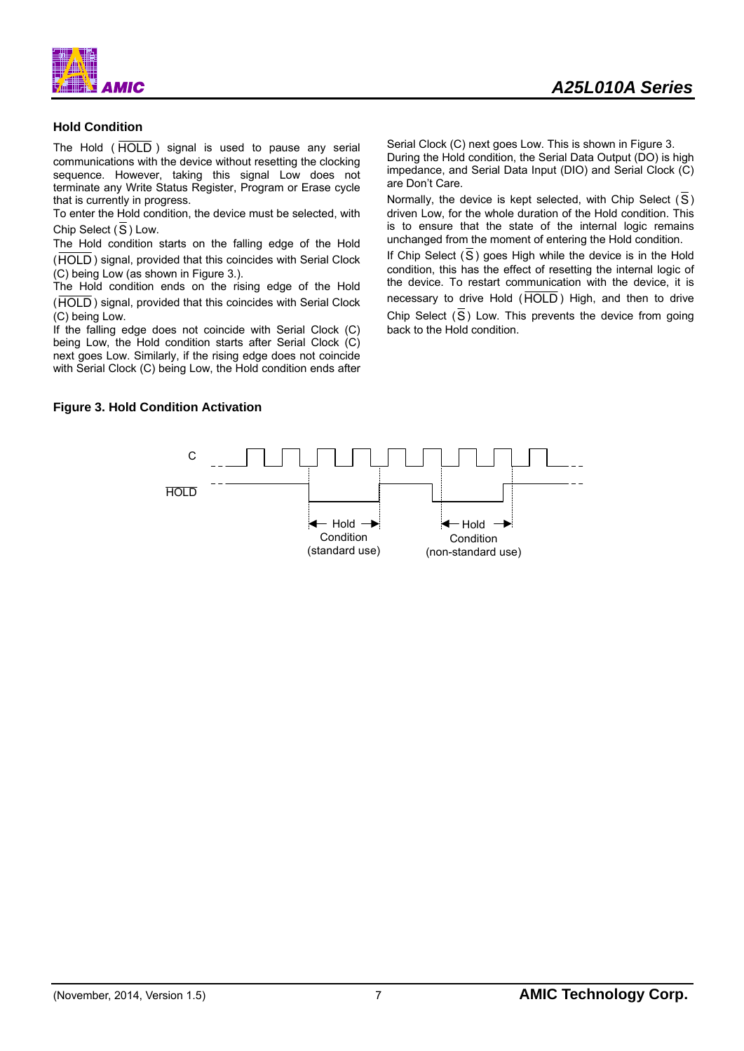



#### **Hold Condition**

The Hold  $(\overline{HOLD})$  signal is used to pause any serial communications with the device without resetting the clocking sequence. However, taking this signal Low does not terminate any Write Status Register, Program or Erase cycle that is currently in progress.

To enter the Hold condition, the device must be selected, with Chip Select  $(\overline{S})$  Low.

The Hold condition starts on the falling edge of the Hold (HOLD ) signal, provided that this coincides with Serial Clock (C) being Low (as shown in Figure 3.).

The Hold condition ends on the rising edge of the Hold (HOLD ) signal, provided that this coincides with Serial Clock (C) being Low.

If the falling edge does not coincide with Serial Clock (C) being Low, the Hold condition starts after Serial Clock (C) next goes Low. Similarly, if the rising edge does not coincide with Serial Clock (C) being Low, the Hold condition ends after Serial Clock (C) next goes Low. This is shown in Figure 3. During the Hold condition, the Serial Data Output (DO) is high impedance, and Serial Data Input (DIO) and Serial Clock (C) are Don't Care.

Normally, the device is kept selected, with Chip Select  $(\overline{S})$ driven Low, for the whole duration of the Hold condition. This is to ensure that the state of the internal logic remains unchanged from the moment of entering the Hold condition.

If Chip Select  $(\overline{S})$  goes High while the device is in the Hold condition, this has the effect of resetting the internal logic of the device. To restart communication with the device, it is necessary to drive Hold (HOLD) High, and then to drive Chip Select  $(\overline{S})$  Low. This prevents the device from going back to the Hold condition.

#### **Figure 3. Hold Condition Activation**

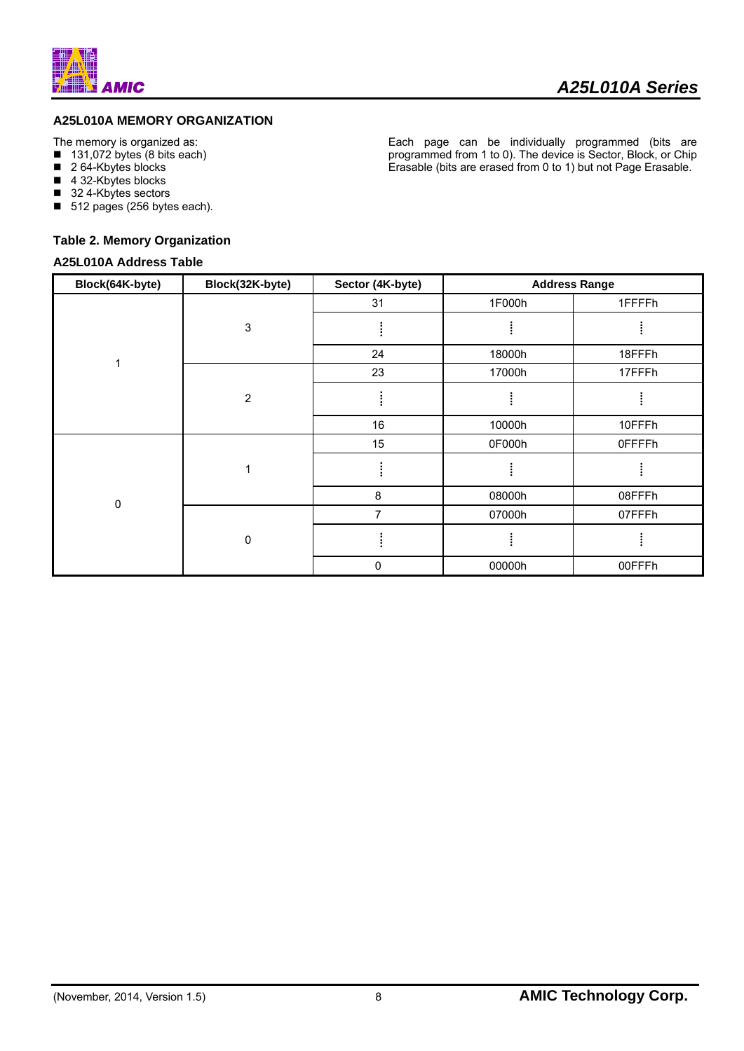![](_page_8_Picture_0.jpeg)

### **A25L010A MEMORY ORGANIZATION**

The memory is organized as:

- $\blacksquare$  131,072 bytes (8 bits each)
- 2 64-Kbytes blocks
- 4 32-Kbytes blocks
- 32 4-Kbytes sectors
- 512 pages (256 bytes each).

#### **Table 2. Memory Organization**

#### **A25L010A Address Table**

Each page can be individually programmed (bits are programmed from 1 to 0). The device is Sector, Block, or Chip Erasable (bits are erased from 0 to 1) but not Page Erasable.

| Block(64K-byte) | Block(32K-byte)           | Sector (4K-byte) |        | <b>Address Range</b> |
|-----------------|---------------------------|------------------|--------|----------------------|
|                 |                           | 31               | 1F000h | 1FFFFh               |
|                 | $\ensuremath{\mathsf{3}}$ |                  |        |                      |
| 1               |                           | 24               | 18000h | 18FFFh               |
|                 |                           | 23               | 17000h | 17FFFh               |
|                 | $\overline{2}$            |                  |        |                      |
|                 |                           | 16               | 10000h | 10FFFh               |
|                 |                           | 15               | 0F000h | 0FFFFh               |
|                 |                           |                  |        |                      |
| $\mathbf 0$     |                           | 8                | 08000h | 08FFFh               |
|                 |                           | $\overline{7}$   | 07000h | 07FFFh               |
|                 | $\mathbf 0$               |                  |        |                      |
|                 |                           | 0                | 00000h | 00FFFh               |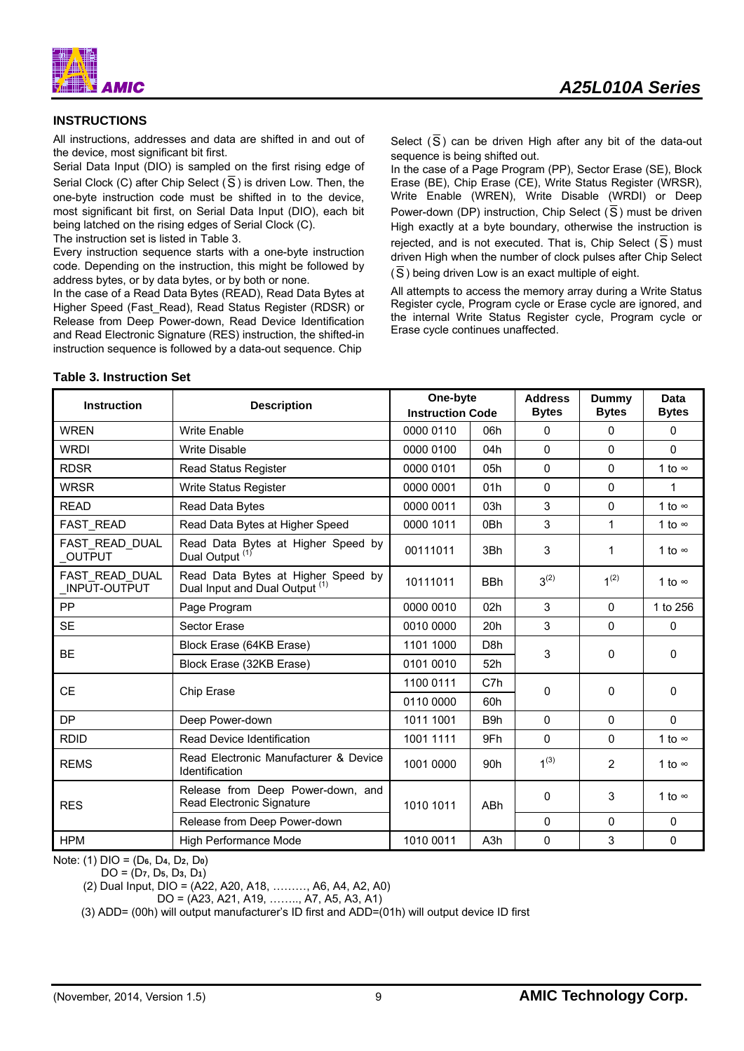![](_page_9_Picture_1.jpeg)

#### **INSTRUCTIONS**

All instructions, addresses and data are shifted in and out of the device, most significant bit first.

Serial Data Input (DIO) is sampled on the first rising edge of Serial Clock (C) after Chip Select ( $\overline{S}$ ) is driven Low. Then, the one-byte instruction code must be shifted in to the device, most significant bit first, on Serial Data Input (DIO), each bit being latched on the rising edges of Serial Clock (C).

The instruction set is listed in Table 3.

Every instruction sequence starts with a one-byte instruction code. Depending on the instruction, this might be followed by address bytes, or by data bytes, or by both or none.

In the case of a Read Data Bytes (READ), Read Data Bytes at Higher Speed (Fast\_Read), Read Status Register (RDSR) or Release from Deep Power-down, Read Device Identification and Read Electronic Signature (RES) instruction, the shifted-in instruction sequence is followed by a data-out sequence. Chip

#### Select (S) can be driven High after any bit of the data-out sequence is being shifted out.

In the case of a Page Program (PP), Sector Erase (SE), Block Erase (BE), Chip Erase (CE), Write Status Register (WRSR), Write Enable (WREN), Write Disable (WRDI) or Deep Power-down (DP) instruction, Chip Select  $(\overline{S})$  must be driven High exactly at a byte boundary, otherwise the instruction is rejected, and is not executed. That is, Chip Select  $(\overline{S})$  must driven High when the number of clock pulses after Chip Select (S) being driven Low is an exact multiple of eight.

All attempts to access the memory array during a Write Status Register cycle, Program cycle or Erase cycle are ignored, and the internal Write Status Register cycle, Program cycle or Erase cycle continues unaffected.

| <b>Instruction</b>              | <b>Description</b>                                                              | One-byte<br><b>Instruction Code</b> |                  | <b>Address</b><br><b>Bytes</b> | <b>Dummy</b><br><b>Bytes</b> | Data<br><b>Bytes</b> |
|---------------------------------|---------------------------------------------------------------------------------|-------------------------------------|------------------|--------------------------------|------------------------------|----------------------|
| <b>WREN</b>                     | <b>Write Enable</b>                                                             | 0000 0110                           | 06h              | 0                              | 0                            | $\Omega$             |
| <b>WRDI</b>                     | <b>Write Disable</b>                                                            | 0000 0100                           | 04h              | $\Omega$                       | 0                            | $\Omega$             |
| <b>RDSR</b>                     | <b>Read Status Register</b>                                                     | 0000 0101                           | 05h              | 0                              | 0                            | 1 to $\infty$        |
| <b>WRSR</b>                     | Write Status Register                                                           | 0000 0001                           | 01h              | $\Omega$                       | $\Omega$                     | 1                    |
| <b>READ</b>                     | Read Data Bytes                                                                 | 0000 0011                           | 03h              | 3                              | 0                            | 1 to $\infty$        |
| <b>FAST READ</b>                | Read Data Bytes at Higher Speed                                                 | 0000 1011                           | 0 <sub>Bh</sub>  | 3                              | $\mathbf{1}$                 | 1 to $\infty$        |
| FAST READ DUAL<br><b>OUTPUT</b> | Read Data Bytes at Higher Speed by<br>Dual Output <sup>(1)</sup>                | 00111011                            | 3Bh              | 3                              | 1                            | 1 to $\infty$        |
| FAST READ_DUAL<br>INPUT-OUTPUT  | Read Data Bytes at Higher Speed by<br>Dual Input and Dual Output <sup>(1)</sup> | 10111011                            | <b>BBh</b>       | $3^{(2)}$                      | $1^{(2)}$                    | 1 to $\infty$        |
| PP                              | Page Program                                                                    | 0000 0010                           | 02h              | 3                              | $\mathbf{0}$                 | 1 to 256             |
| <b>SE</b>                       | <b>Sector Erase</b>                                                             | 0010 0000                           | 20h              | 3                              | $\Omega$                     | $\Omega$             |
| <b>BE</b>                       | Block Erase (64KB Erase)                                                        | 1101 1000                           | D <sub>8</sub> h | 3                              | 0                            | $\Omega$             |
|                                 | Block Erase (32KB Erase)                                                        | 0101 0010                           | 52h              |                                |                              |                      |
| <b>CE</b>                       |                                                                                 | 1100 0111                           | C7h              | 0                              | 0                            | $\Omega$             |
|                                 | Chip Erase                                                                      | 0110 0000                           | 60h              |                                |                              |                      |
| <b>DP</b>                       | Deep Power-down                                                                 | 1011 1001                           | B9h              | $\Omega$                       | $\Omega$                     | $\Omega$             |
| <b>RDID</b>                     | Read Device Identification                                                      | 1001 1111                           | 9Fh              | 0                              | 0                            | 1 to $\infty$        |
| <b>REMS</b>                     | Read Electronic Manufacturer & Device<br>Identification                         | 1001 0000                           | 90h              | $1^{(3)}$                      | $\overline{2}$               | 1 to $\infty$        |
| <b>RES</b>                      | Release from Deep Power-down, and<br>Read Electronic Signature                  | 1010 1011                           | <b>ABh</b>       | 0                              | 3                            | 1 to $\infty$        |
|                                 | Release from Deep Power-down                                                    |                                     |                  | 0                              | 0                            | 0                    |
| <b>HPM</b>                      | High Performance Mode                                                           | 1010 0011                           | A <sub>3</sub> h | 0                              | 3                            | 0                    |

**Table 3. Instruction Set**

Note: (1) DIO = (D**6**, D**4**, D**2**, D**0**)

DO = (D**7**, D**5**, D**3**, D**1**)

(2) Dual Input, DIO = (A22, A20, A18, ………, A6, A4, A2, A0)

DO = (A23, A21, A19, …….., A7, A5, A3, A1)

(3) ADD= (00h) will output manufacturer's ID first and ADD=(01h) will output device ID first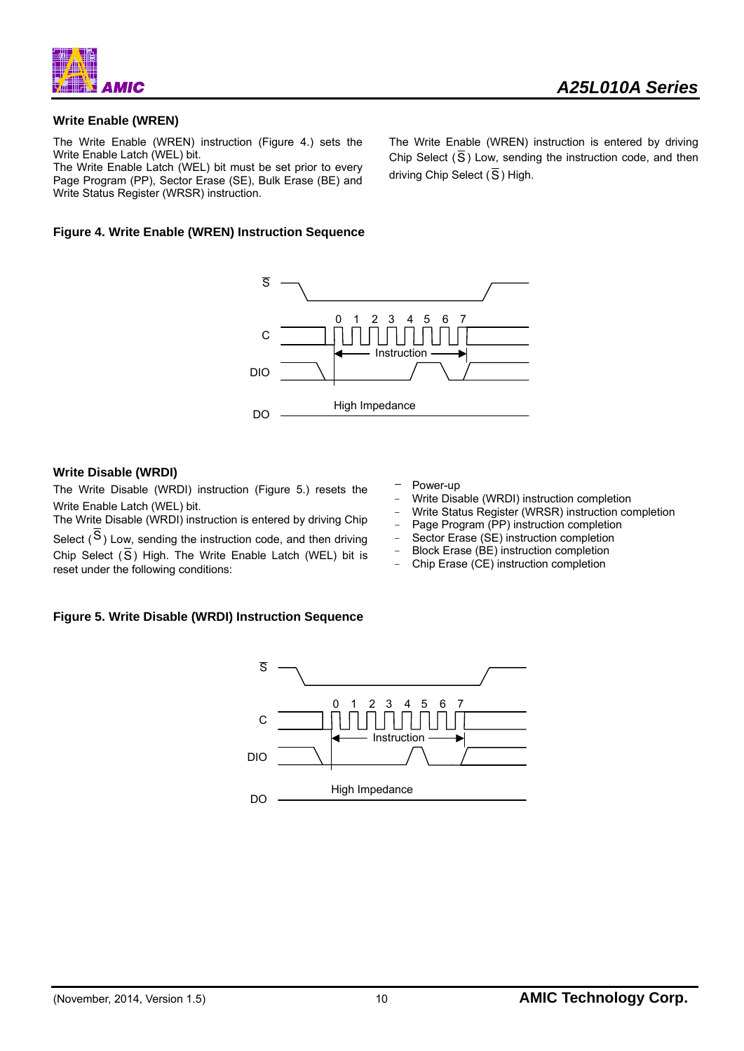![](_page_10_Picture_0.jpeg)

### **Write Enable (WREN)**

The Write Enable (WREN) instruction (Figure 4.) sets the Write Enable Latch (WEL) bit.

The Write Enable Latch (WEL) bit must be set prior to every Page Program (PP), Sector Erase (SE), Bulk Erase (BE) and Write Status Register (WRSR) instruction.

#### **Figure 4. Write Enable (WREN) Instruction Sequence**

![](_page_10_Figure_6.jpeg)

#### **Write Disable (WRDI)**

The Write Disable (WRDI) instruction (Figure 5.) resets the Write Enable Latch (WEL) bit.

The Write Disable (WRDI) instruction is entered by driving Chip Select  $(S)$  Low, sending the instruction code, and then driving Chip Select  $(\overline{S})$  High. The Write Enable Latch (WEL) bit is reset under the following conditions:

- Power-up
- Write Disable (WRDI) instruction completion
- Write Status Register (WRSR) instruction completion
- Page Program (PP) instruction completion
- Sector Erase (SE) instruction completion
- Block Erase (BE) instruction completion
- ﹣ Chip Erase (CE) instruction completion

#### **Figure 5. Write Disable (WRDI) Instruction Sequence**

![](_page_10_Figure_18.jpeg)

The Write Enable (WREN) instruction is entered by driving Chip Select  $(\overline{S})$  Low, sending the instruction code, and then driving Chip Select ( $\overline{S}$ ) High.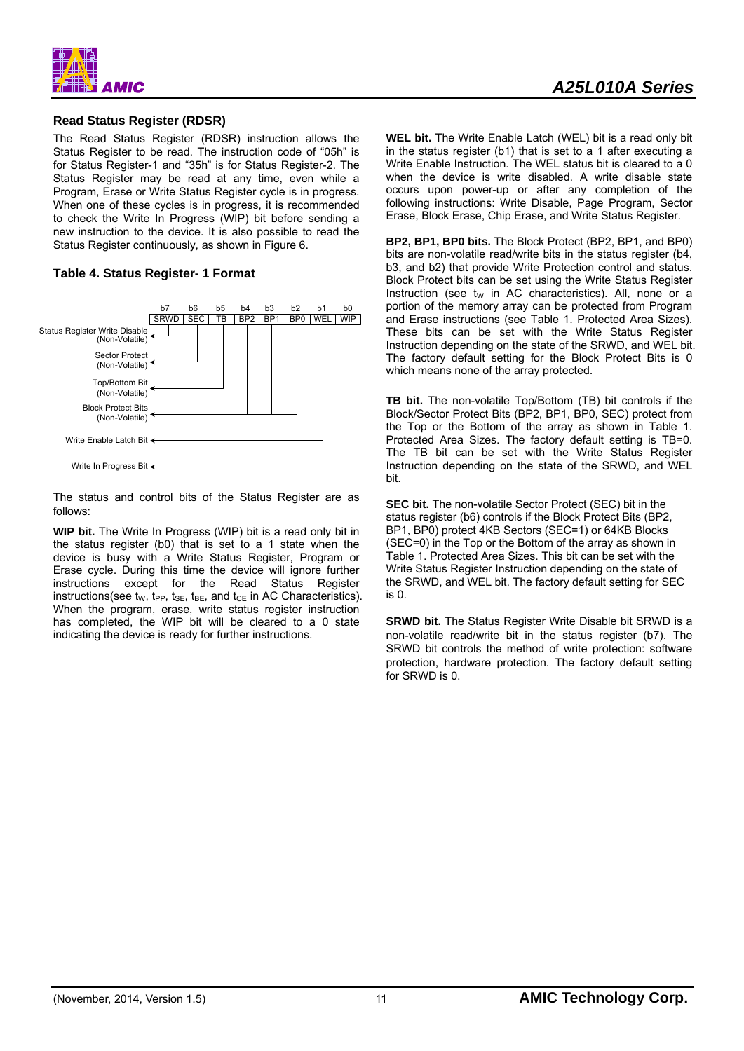![](_page_11_Picture_0.jpeg)

#### **Read Status Register (RDSR)**

The Read Status Register (RDSR) instruction allows the Status Register to be read. The instruction code of "05h" is for Status Register-1 and "35h" is for Status Register-2. The Status Register may be read at any time, even while a Program, Erase or Write Status Register cycle is in progress. When one of these cycles is in progress, it is recommended to check the Write In Progress (WIP) bit before sending a new instruction to the device. It is also possible to read the Status Register continuously, as shown in Figure 6.

#### **Table 4. Status Register- 1 Format**

![](_page_11_Figure_4.jpeg)

The status and control bits of the Status Register are as follows:

**WIP bit.** The Write In Progress (WIP) bit is a read only bit in the status register (b0) that is set to a 1 state when the device is busy with a Write Status Register, Program or Erase cycle. During this time the device will ignore further instructions except for the Read Status Register instructions(see  $t_W$ ,  $t_{PP}$ ,  $t_{SE}$ ,  $t_{BE}$ , and  $t_{CE}$  in AC Characteristics). When the program, erase, write status register instruction has completed, the WIP bit will be cleared to a 0 state indicating the device is ready for further instructions.

**WEL bit.** The Write Enable Latch (WEL) bit is a read only bit in the status register (b1) that is set to a 1 after executing a Write Enable Instruction. The WEL status bit is cleared to a 0 when the device is write disabled. A write disable state occurs upon power-up or after any completion of the following instructions: Write Disable, Page Program, Sector Erase, Block Erase, Chip Erase, and Write Status Register.

**BP2, BP1, BP0 bits.** The Block Protect (BP2, BP1, and BP0) bits are non-volatile read/write bits in the status register (b4, b3, and b2) that provide Write Protection control and status. Block Protect bits can be set using the Write Status Register Instruction (see  $t_W$  in AC characteristics). All, none or a portion of the memory array can be protected from Program and Erase instructions (see Table 1. Protected Area Sizes). These bits can be set with the Write Status Register Instruction depending on the state of the SRWD, and WEL bit. The factory default setting for the Block Protect Bits is 0 which means none of the array protected.

**TB bit.** The non-volatile Top/Bottom (TB) bit controls if the Block/Sector Protect Bits (BP2, BP1, BP0, SEC) protect from the Top or the Bottom of the array as shown in Table 1. Protected Area Sizes. The factory default setting is TB=0. The TB bit can be set with the Write Status Register Instruction depending on the state of the SRWD, and WEL bit.

**SEC bit.** The non-volatile Sector Protect (SEC) bit in the status register (b6) controls if the Block Protect Bits (BP2, BP1, BP0) protect 4KB Sectors (SEC=1) or 64KB Blocks (SEC=0) in the Top or the Bottom of the array as shown in Table 1. Protected Area Sizes. This bit can be set with the Write Status Register Instruction depending on the state of the SRWD, and WEL bit. The factory default setting for SEC is 0.

**SRWD bit.** The Status Register Write Disable bit SRWD is a non-volatile read/write bit in the status register (b7). The SRWD bit controls the method of write protection: software protection, hardware protection. The factory default setting for SRWD is 0.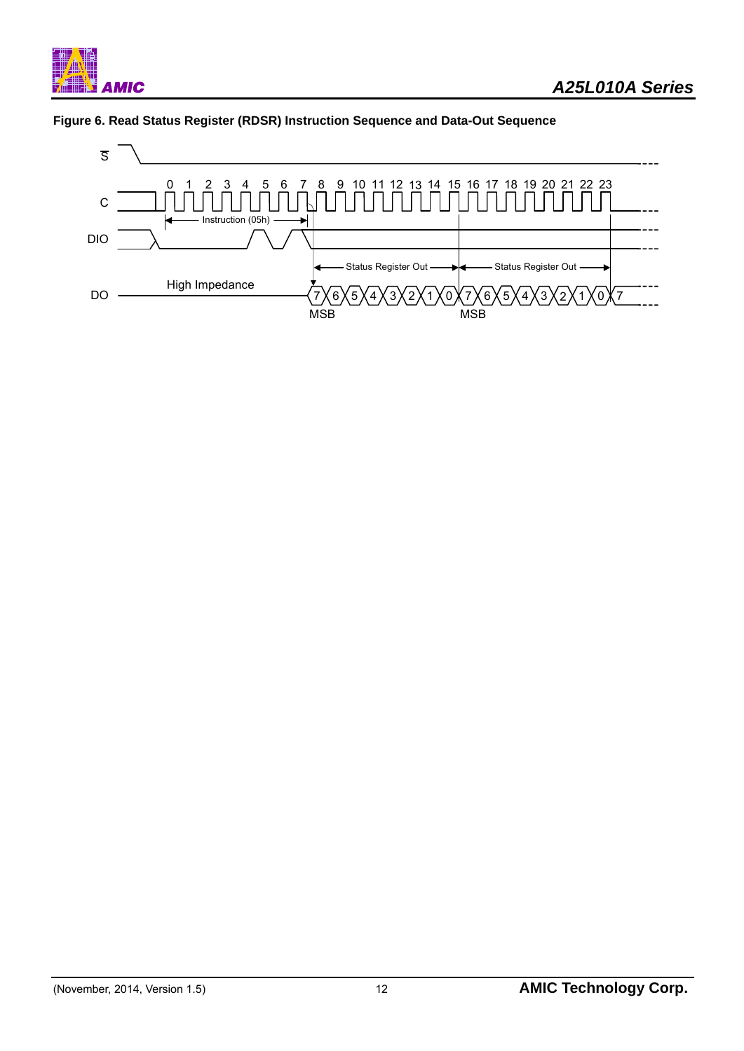![](_page_12_Picture_0.jpeg)

![](_page_12_Figure_2.jpeg)

![](_page_12_Figure_3.jpeg)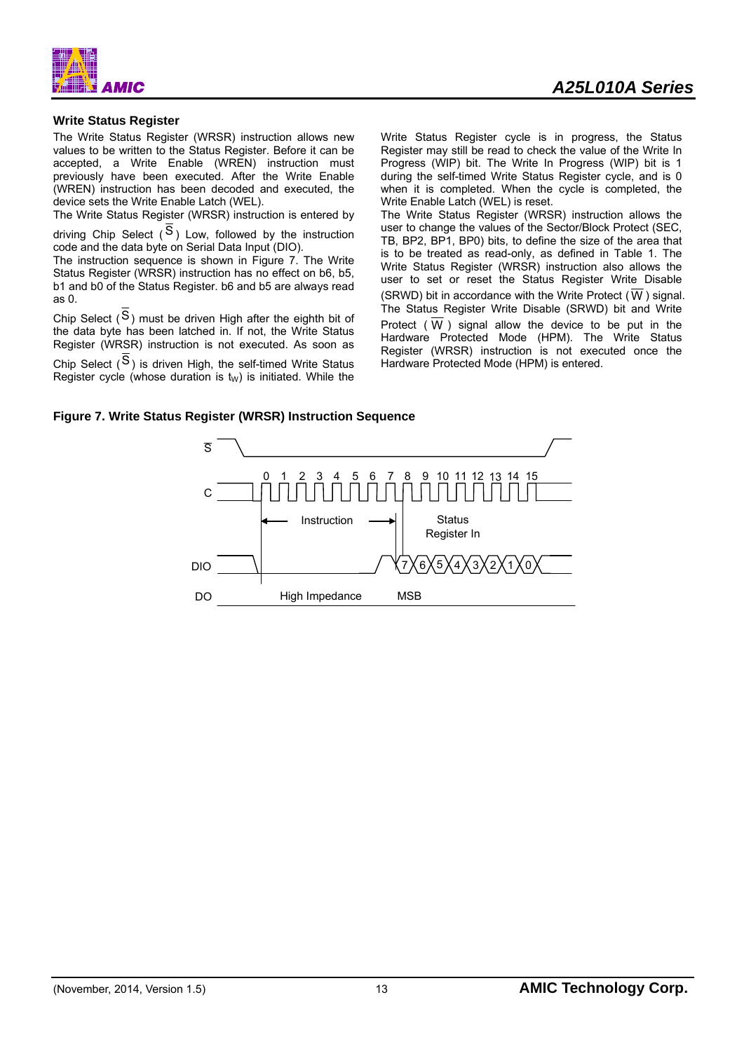![](_page_13_Picture_0.jpeg)

#### **Write Status Register**

The Write Status Register (WRSR) instruction allows new values to be written to the Status Register. Before it can be accepted, a Write Enable (WREN) instruction must previously have been executed. After the Write Enable (WREN) instruction has been decoded and executed, the device sets the Write Enable Latch (WEL).

The Write Status Register (WRSR) instruction is entered by

driving Chip Select  $(S)$  Low, followed by the instruction code and the data byte on Serial Data Input (DIO).

The instruction sequence is shown in Figure 7. The Write Status Register (WRSR) instruction has no effect on b6, b5, b1 and b0 of the Status Register. b6 and b5 are always read as 0.

Chip Select  $(S)$  must be driven High after the eighth bit of the data byte has been latched in. If not, the Write Status Register (WRSR) instruction is not executed. As soon as

Chip Select  $(S)$  is driven High, the self-timed Write Status Register cycle (whose duration is  $t_W$ ) is initiated. While the Write Status Register cycle is in progress, the Status Register may still be read to check the value of the Write In Progress (WIP) bit. The Write In Progress (WIP) bit is 1 during the self-timed Write Status Register cycle, and is 0 when it is completed. When the cycle is completed, the Write Enable Latch (WEL) is reset.

The Write Status Register (WRSR) instruction allows the user to change the values of the Sector/Block Protect (SEC, TB, BP2, BP1, BP0) bits, to define the size of the area that is to be treated as read-only, as defined in Table 1. The Write Status Register (WRSR) instruction also allows the user to set or reset the Status Register Write Disable (SRWD) bit in accordance with the Write Protect ( $\overline{W}$ ) signal. The Status Register Write Disable (SRWD) bit and Write Protect ( $\overline{W}$ ) signal allow the device to be put in the Hardware Protected Mode (HPM). The Write Status Register (WRSR) instruction is not executed once the Hardware Protected Mode (HPM) is entered.

#### **Figure 7. Write Status Register (WRSR) Instruction Sequence**

![](_page_13_Figure_12.jpeg)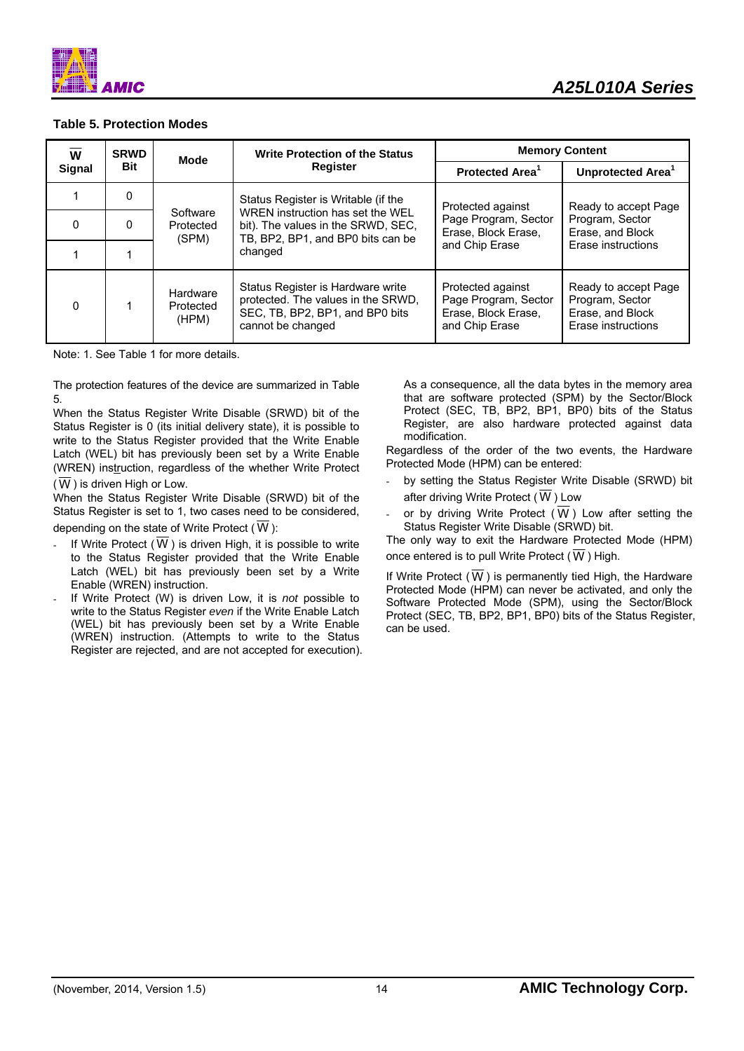![](_page_14_Picture_0.jpeg)

#### **Table 5. Protection Modes**

| W             | <b>SRWD</b>            | Mode                                                                                                                                          | <b>Write Protection of the Status</b>                                                                                           |                                                                                    | <b>Memory Content</b>                                                             |  |
|---------------|------------------------|-----------------------------------------------------------------------------------------------------------------------------------------------|---------------------------------------------------------------------------------------------------------------------------------|------------------------------------------------------------------------------------|-----------------------------------------------------------------------------------|--|
| <b>Signal</b> | <b>Bit</b><br>Register |                                                                                                                                               | Protected Area <sup>1</sup>                                                                                                     | Unprotected Area <sup>1</sup>                                                      |                                                                                   |  |
|               | 0                      |                                                                                                                                               | Status Register is Writable (if the                                                                                             | Protected against                                                                  | Ready to accept Page                                                              |  |
| $\Omega$      | 0                      | WREN instruction has set the WEL<br>Software<br>bit). The values in the SRWD, SEC,<br>Protected<br>TB, BP2, BP1, and BP0 bits can be<br>(SPM) |                                                                                                                                 | Page Program, Sector<br>Erase, Block Erase,                                        | Program, Sector<br>Erase, and Block                                               |  |
|               |                        |                                                                                                                                               | changed                                                                                                                         | and Chip Erase                                                                     | Erase instructions                                                                |  |
| $\Omega$      |                        | Hardware<br>Protected<br>(HPM)                                                                                                                | Status Register is Hardware write<br>protected. The values in the SRWD,<br>SEC, TB, BP2, BP1, and BP0 bits<br>cannot be changed | Protected against<br>Page Program, Sector<br>Erase, Block Erase,<br>and Chip Erase | Ready to accept Page<br>Program, Sector<br>Erase, and Block<br>Erase instructions |  |

Note: 1. See Table 1 for more details.

The protection features of the device are summarized in Table 5.

When the Status Register Write Disable (SRWD) bit of the Status Register is 0 (its initial delivery state), it is possible to write to the Status Register provided that the Write Enable Latch (WEL) bit has previously been set by a Write Enable (WREN) instruction, regardless of the whether Write Protect  $(\overline{W})$  is driven High or Low.

When the Status Register Write Disable (SRWD) bit of the Status Register is set to 1, two cases need to be considered, depending on the state of Write Protect ( W ):

- If Write Protect  $(W)$  is driven High, it is possible to write to the Status Register provided that the Write Enable Latch (WEL) bit has previously been set by a Write Enable (WREN) instruction.
- If Write Protect (W) is driven Low, it is *not* possible to write to the Status Register *even* if the Write Enable Latch (WEL) bit has previously been set by a Write Enable (WREN) instruction. (Attempts to write to the Status Register are rejected, and are not accepted for execution).

As a consequence, all the data bytes in the memory area that are software protected (SPM) by the Sector/Block Protect (SEC, TB, BP2, BP1, BP0) bits of the Status Register, are also hardware protected against data modification.

Regardless of the order of the two events, the Hardware Protected Mode (HPM) can be entered:

- by setting the Status Register Write Disable (SRWD) bit after driving Write Protect ( W ) Low
- or by driving Write Protect ( $\overline{W}$ ) Low after setting the Status Register Write Disable (SRWD) bit.

The only way to exit the Hardware Protected Mode (HPM) once entered is to pull Write Protect ( $\overline{W}$ ) High.

If Write Protect ( W ) is permanently tied High, the Hardware Protected Mode (HPM) can never be activated, and only the Software Protected Mode (SPM), using the Sector/Block Protect (SEC, TB, BP2, BP1, BP0) bits of the Status Register, can be used.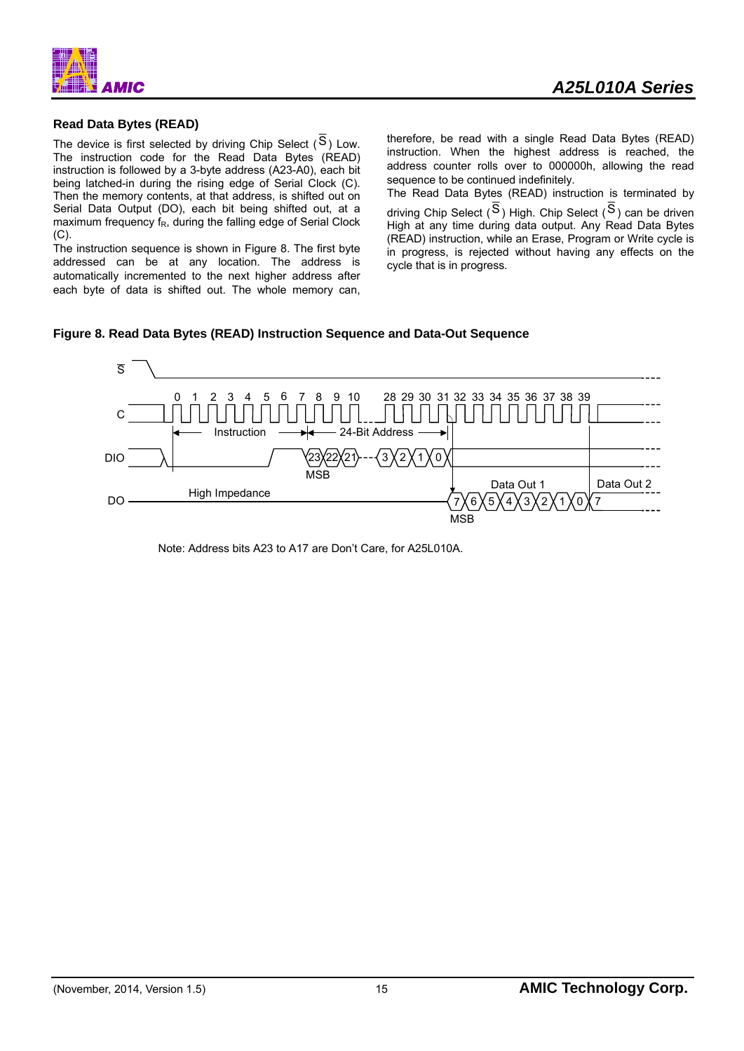![](_page_15_Figure_0.jpeg)

### **Read Data Bytes (READ)**

The device is first selected by driving Chip Select  $(S)$  Low. The instruction code for the Read Data Bytes (READ) instruction is followed by a 3-byte address (A23-A0), each bit being latched-in during the rising edge of Serial Clock (C). Then the memory contents, at that address, is shifted out on Serial Data Output (DO), each bit being shifted out, at a maximum frequency fR, during the falling edge of Serial Clock  $(C).$ 

The instruction sequence is shown in Figure 8. The first byte addressed can be at any location. The address is automatically incremented to the next higher address after each byte of data is shifted out. The whole memory can, therefore, be read with a single Read Data Bytes (READ) instruction. When the highest address is reached, the address counter rolls over to 000000h, allowing the read sequence to be continued indefinitely.

The Read Data Bytes (READ) instruction is terminated by driving Chip Select  $(S)$  High. Chip Select  $(S)$  can be driven High at any time during data output. Any Read Data Bytes (READ) instruction, while an Erase, Program or Write cycle is in progress, is rejected without having any effects on the cycle that is in progress.

#### **Figure 8. Read Data Bytes (READ) Instruction Sequence and Data-Out Sequence**

![](_page_15_Figure_8.jpeg)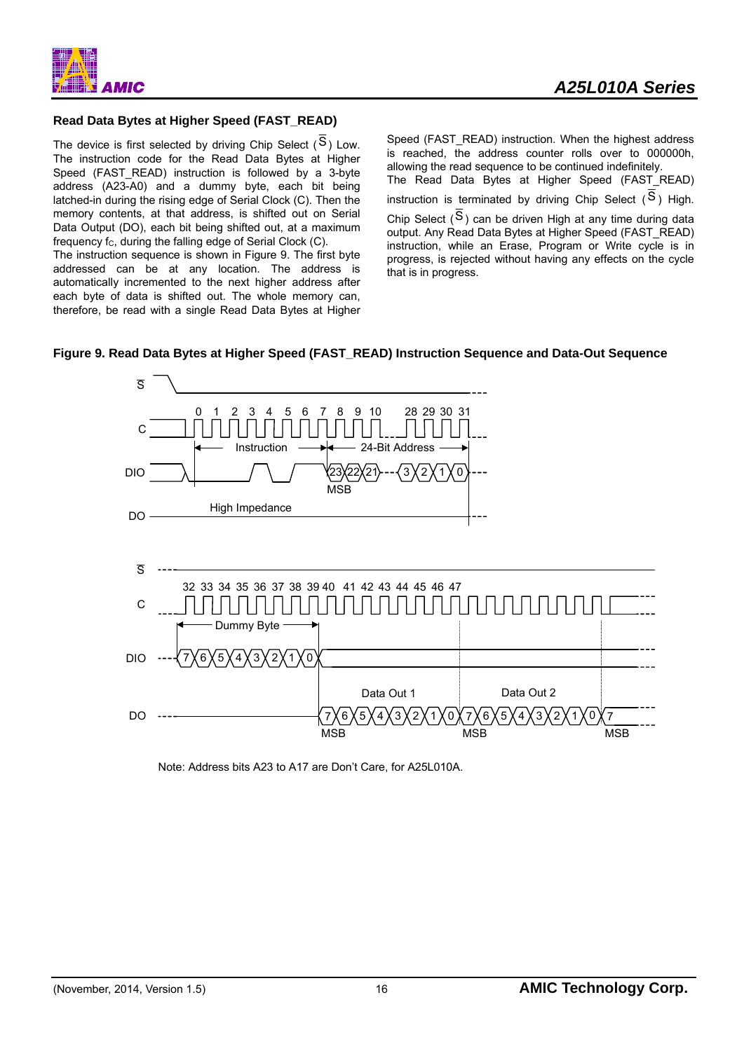![](_page_16_Picture_0.jpeg)

### **Read Data Bytes at Higher Speed (FAST\_READ)**

The device is first selected by driving Chip Select  $(S)$  Low. The instruction code for the Read Data Bytes at Higher Speed (FAST\_READ) instruction is followed by a 3-byte address (A23-A0) and a dummy byte, each bit being latched-in during the rising edge of Serial Clock (C). Then the memory contents, at that address, is shifted out on Serial Data Output (DO), each bit being shifted out, at a maximum frequency  $f_C$ , during the falling edge of Serial Clock  $(C)$ .

The instruction sequence is shown in Figure 9. The first byte addressed can be at any location. The address is automatically incremented to the next higher address after each byte of data is shifted out. The whole memory can, therefore, be read with a single Read Data Bytes at Higher Speed (FAST\_READ) instruction. When the highest address is reached, the address counter rolls over to 000000h, allowing the read sequence to be continued indefinitely. The Read Data Bytes at Higher Speed (FAST\_READ) instruction is terminated by driving Chip Select  $(S)$  High. Chip Select  $(S)$  can be driven High at any time during data output. Any Read Data Bytes at Higher Speed (FAST\_READ) instruction, while an Erase, Program or Write cycle is in progress, is rejected without having any effects on the cycle that is in progress.

#### **Figure 9. Read Data Bytes at Higher Speed (FAST\_READ) Instruction Sequence and Data-Out Sequence**

![](_page_16_Figure_7.jpeg)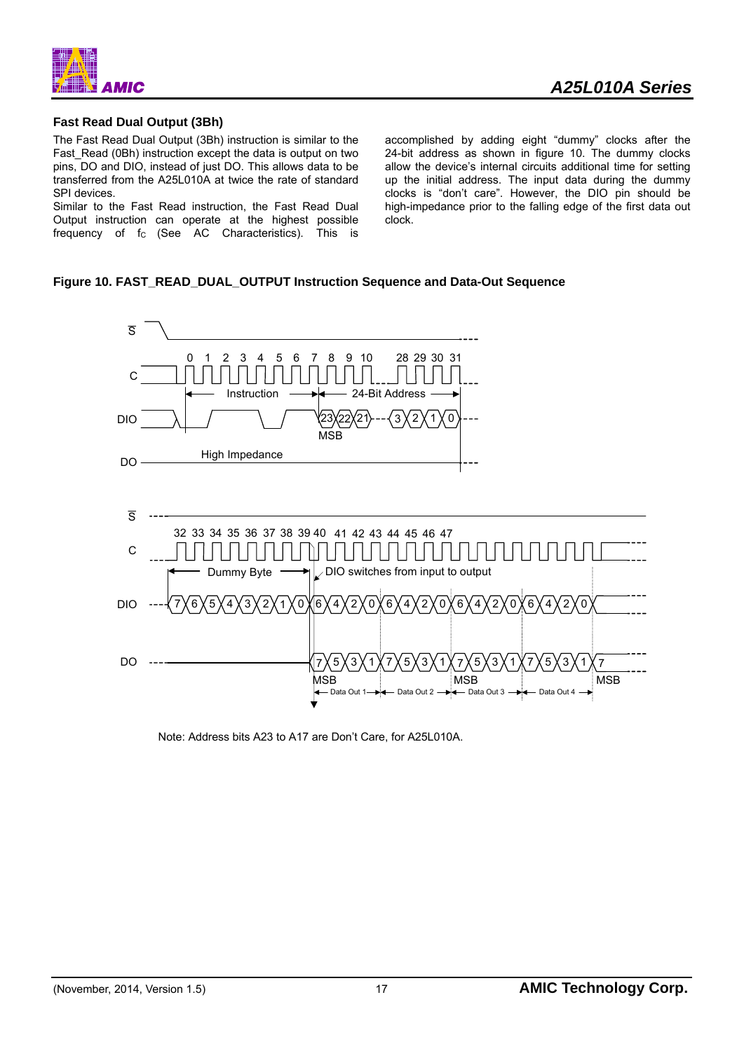![](_page_17_Picture_0.jpeg)

#### **Fast Read Dual Output (3Bh)**

The Fast Read Dual Output (3Bh) instruction is similar to the Fast\_Read (0Bh) instruction except the data is output on two pins, DO and DIO, instead of just DO. This allows data to be transferred from the A25L010A at twice the rate of standard SPI devices.

Similar to the Fast Read instruction, the Fast Read Dual Output instruction can operate at the highest possible frequency of  $f_c$  (See AC Characteristics). This is

accomplished by adding eight "dummy" clocks after the 24-bit address as shown in figure 10. The dummy clocks allow the device's internal circuits additional time for setting up the initial address. The input data during the dummy clocks is "don't care". However, the DIO pin should be high-impedance prior to the falling edge of the first data out clock.

#### **Figure 10. FAST\_READ\_DUAL\_OUTPUT Instruction Sequence and Data-Out Sequence**

![](_page_17_Figure_7.jpeg)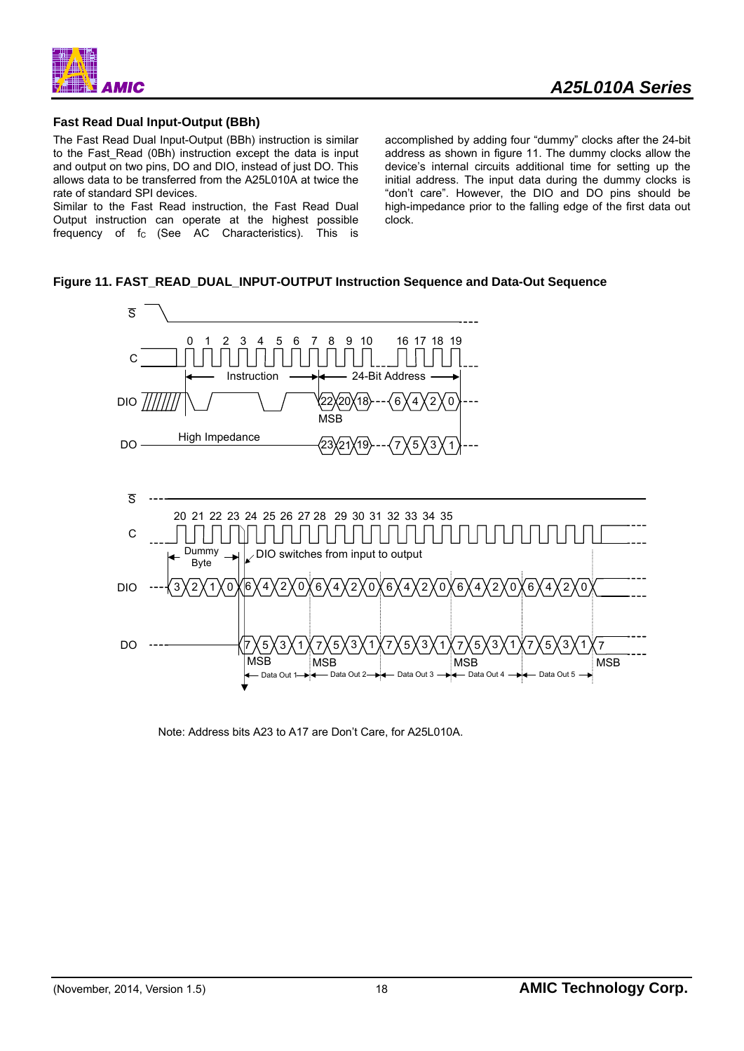![](_page_18_Picture_0.jpeg)

#### **Fast Read Dual Input-Output (BBh)**

The Fast Read Dual Input-Output (BBh) instruction is similar to the Fast Read (0Bh) instruction except the data is input and output on two pins, DO and DIO, instead of just DO. This allows data to be transferred from the A25L010A at twice the rate of standard SPI devices.

Similar to the Fast Read instruction, the Fast Read Dual Output instruction can operate at the highest possible frequency of  $f_c$  (See AC Characteristics). This is accomplished by adding four "dummy" clocks after the 24-bit address as shown in figure 11. The dummy clocks allow the device's internal circuits additional time for setting up the initial address. The input data during the dummy clocks is "don't care". However, the DIO and DO pins should be high-impedance prior to the falling edge of the first data out clock.

### **Figure 11. FAST\_READ\_DUAL\_INPUT-OUTPUT Instruction Sequence and Data-Out Sequence**

![](_page_18_Figure_7.jpeg)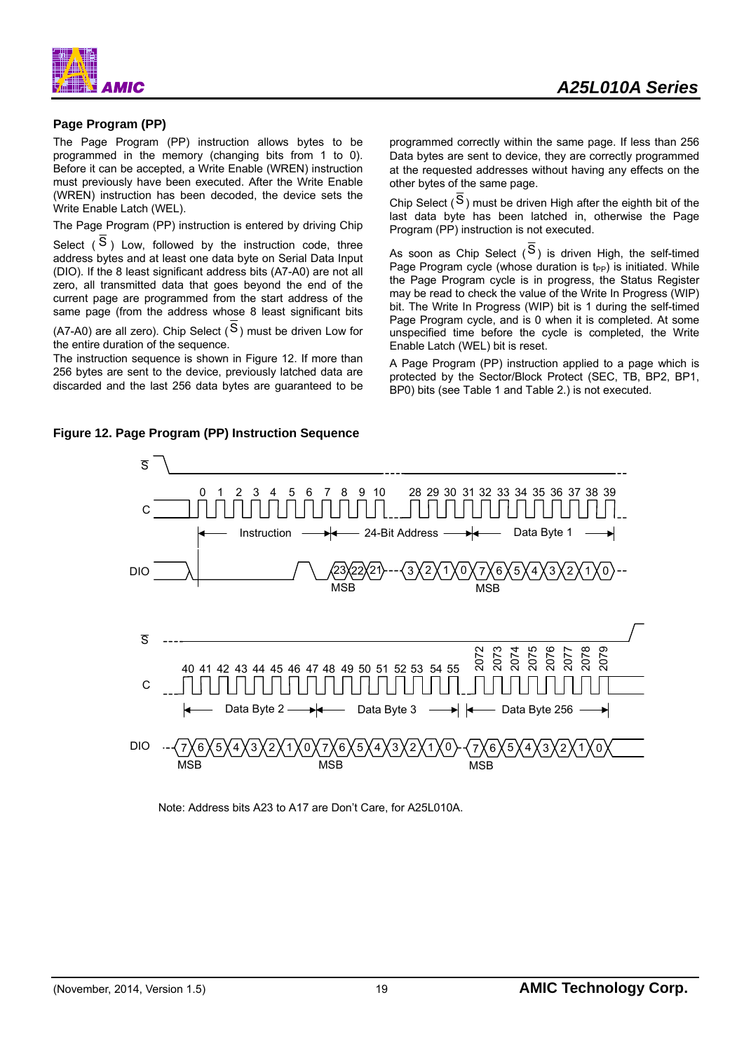![](_page_19_Picture_0.jpeg)

#### **Page Program (PP)**

The Page Program (PP) instruction allows bytes to be programmed in the memory (changing bits from 1 to 0). Before it can be accepted, a Write Enable (WREN) instruction must previously have been executed. After the Write Enable (WREN) instruction has been decoded, the device sets the Write Enable Latch (WEL).

The Page Program (PP) instruction is entered by driving Chip

Select  $(S)$  Low, followed by the instruction code, three address bytes and at least one data byte on Serial Data Input (DIO). If the 8 least significant address bits (A7-A0) are not all zero, all transmitted data that goes beyond the end of the current page are programmed from the start address of the same page (from the address whose 8 least significant bits

(A7-A0) are all zero). Chip Select  $(S)$  must be driven Low for the entire duration of the sequence.

The instruction sequence is shown in Figure 12. If more than 256 bytes are sent to the device, previously latched data are discarded and the last 256 data bytes are guaranteed to be programmed correctly within the same page. If less than 256 Data bytes are sent to device, they are correctly programmed at the requested addresses without having any effects on the other bytes of the same page.

Chip Select  $(S)$  must be driven High after the eighth bit of the last data byte has been latched in, otherwise the Page Program (PP) instruction is not executed.

As soon as Chip Select  $(S)$  is driven High, the self-timed Page Program cycle (whose duration is  $t_{PP}$ ) is initiated. While the Page Program cycle is in progress, the Status Register may be read to check the value of the Write In Progress (WIP) bit. The Write In Progress (WIP) bit is 1 during the self-timed Page Program cycle, and is 0 when it is completed. At some unspecified time before the cycle is completed, the Write Enable Latch (WEL) bit is reset.

A Page Program (PP) instruction applied to a page which is protected by the Sector/Block Protect (SEC, TB, BP2, BP1, BP0) bits (see Table 1 and Table 2.) is not executed.

![](_page_19_Figure_12.jpeg)

Note: Address bits A23 to A17 are Don't Care, for A25L010A.

### **Figure 12. Page Program (PP) Instruction Sequence**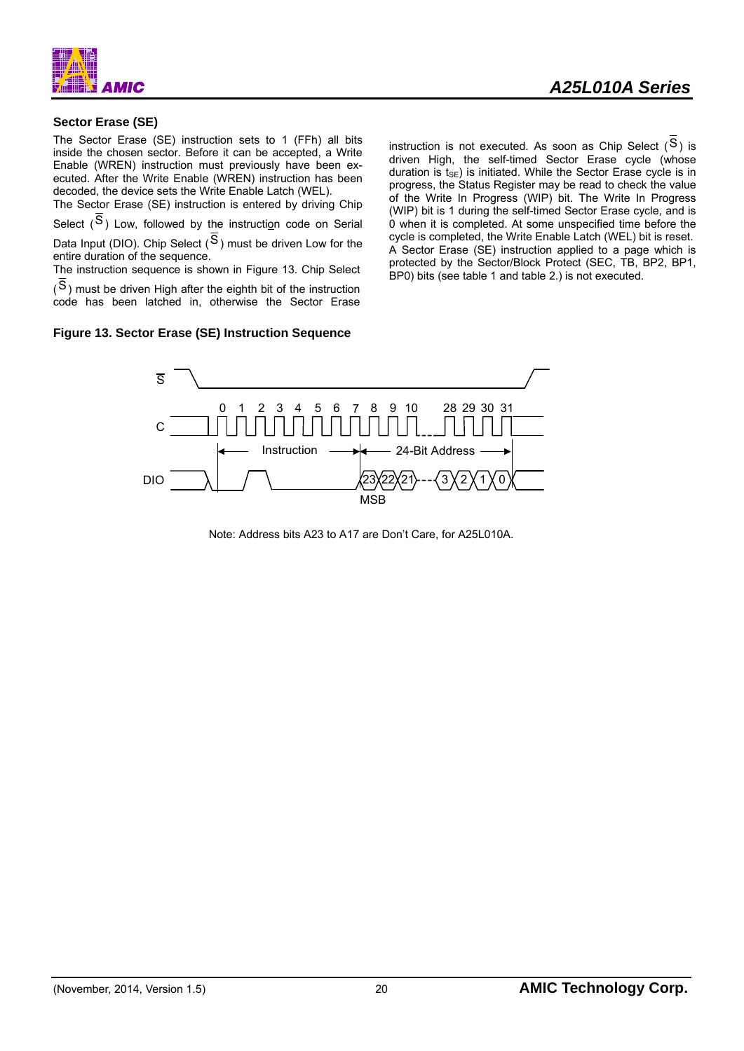![](_page_20_Picture_0.jpeg)

#### **Sector Erase (SE)**

The Sector Erase (SE) instruction sets to 1 (FFh) all bits inside the chosen sector. Before it can be accepted, a Write Enable (WREN) instruction must previously have been executed. After the Write Enable (WREN) instruction has been decoded, the device sets the Write Enable Latch (WEL).

The Sector Erase (SE) instruction is entered by driving Chip Select  $(S)$  Low, followed by the instruction code on Serial Data Input (DIO). Chip Select  $(S)$  must be driven Low for the entire duration of the sequence.

The instruction sequence is shown in Figure 13. Chip Select

(S) must be driven High after the eighth bit of the instruction code has been latched in, otherwise the Sector Erase

#### **Figure 13. Sector Erase (SE) Instruction Sequence**

instruction is not executed. As soon as Chip Select  $(S)$  is driven High, the self-timed Sector Erase cycle (whose duration is  $ts_F$ ) is initiated. While the Sector Erase cycle is in progress, the Status Register may be read to check the value of the Write In Progress (WIP) bit. The Write In Progress (WIP) bit is 1 during the self-timed Sector Erase cycle, and is 0 when it is completed. At some unspecified time before the cycle is completed, the Write Enable Latch (WEL) bit is reset. A Sector Erase (SE) instruction applied to a page which is protected by the Sector/Block Protect (SEC, TB, BP2, BP1, BP0) bits (see table 1 and table 2.) is not executed.

![](_page_20_Figure_9.jpeg)

Note: Address bits A23 to A17 are Don't Care, for A25L010A.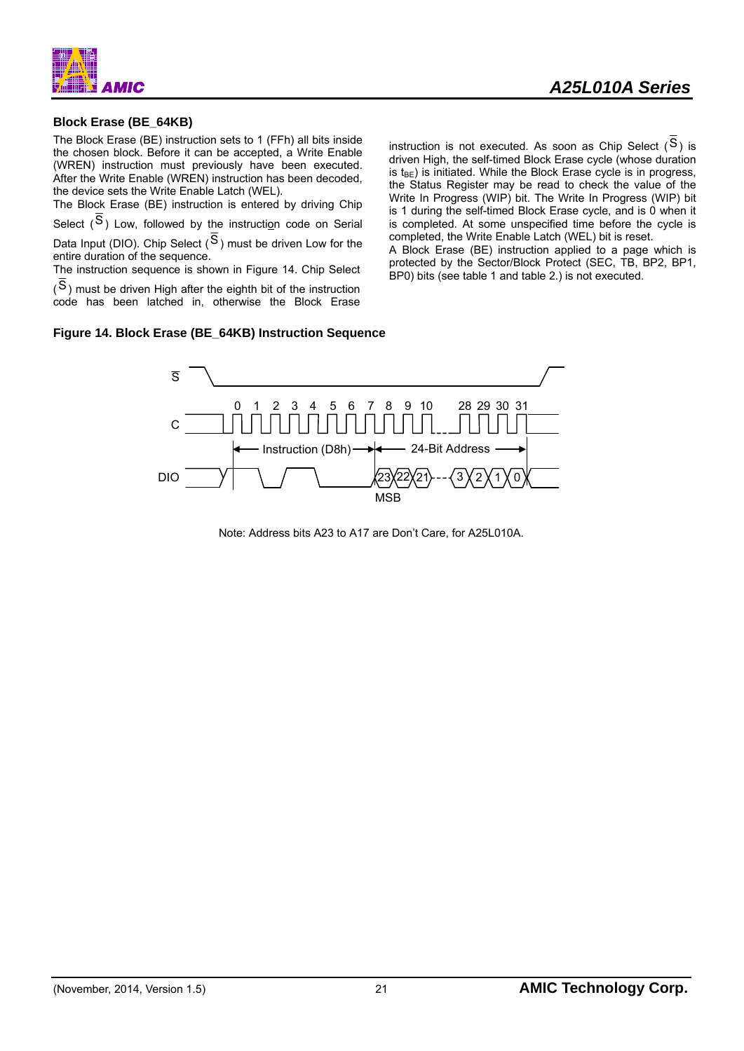![](_page_21_Figure_0.jpeg)

#### **Block Erase (BE\_64KB)**

The Block Erase (BE) instruction sets to 1 (FFh) all bits inside the chosen block. Before it can be accepted, a Write Enable (WREN) instruction must previously have been executed. After the Write Enable (WREN) instruction has been decoded, the device sets the Write Enable Latch (WEL).

The Block Erase (BE) instruction is entered by driving Chip Select  $(S)$  Low, followed by the instruction code on Serial Data Input (DIO). Chip Select  $(S)$  must be driven Low for the entire duration of the sequence.

The instruction sequence is shown in Figure 14. Chip Select

(S) must be driven High after the eighth bit of the instruction code has been latched in, otherwise the Block Erase instruction is not executed. As soon as Chip Select  $(S)$  is driven High, the self-timed Block Erase cycle (whose duration is  $t_{\text{BE}}$ ) is initiated. While the Block Erase cycle is in progress, the Status Register may be read to check the value of the Write In Progress (WIP) bit. The Write In Progress (WIP) bit is 1 during the self-timed Block Erase cycle, and is 0 when it is completed. At some unspecified time before the cycle is completed, the Write Enable Latch (WEL) bit is reset.

A Block Erase (BE) instruction applied to a page which is protected by the Sector/Block Protect (SEC, TB, BP2, BP1, BP0) bits (see table 1 and table 2.) is not executed.

#### **Figure 14. Block Erase (BE\_64KB) Instruction Sequence**

![](_page_21_Figure_10.jpeg)

Note: Address bits A23 to A17 are Don't Care, for A25L010A.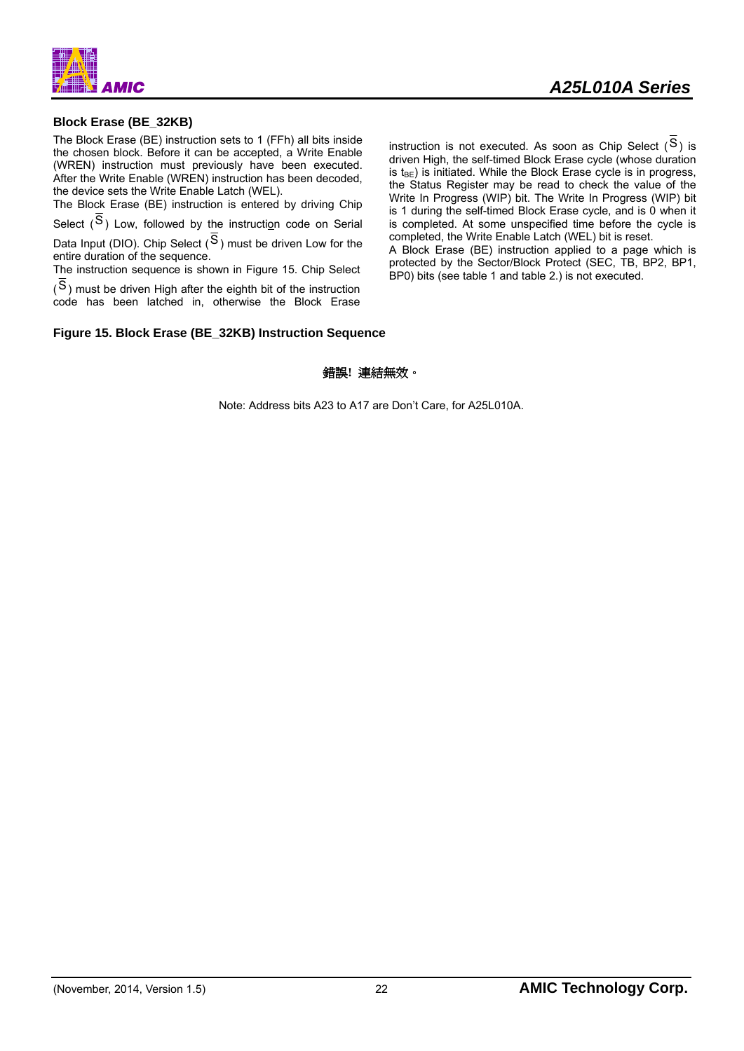![](_page_22_Figure_0.jpeg)

#### **Block Erase (BE\_32KB)**

The Block Erase (BE) instruction sets to 1 (FFh) all bits inside the chosen block. Before it can be accepted, a Write Enable (WREN) instruction must previously have been executed. After the Write Enable (WREN) instruction has been decoded, the device sets the Write Enable Latch (WEL).

The Block Erase (BE) instruction is entered by driving Chip Select  $(S)$  Low, followed by the instruction code on Serial Data Input (DIO). Chip Select  $(S)$  must be driven Low for the entire duration of the sequence.

The instruction sequence is shown in Figure 15. Chip Select

(S) must be driven High after the eighth bit of the instruction code has been latched in, otherwise the Block Erase instruction is not executed. As soon as Chip Select  $(S)$  is driven High, the self-timed Block Erase cycle (whose duration is  $t_{\text{BE}}$ ) is initiated. While the Block Erase cycle is in progress, the Status Register may be read to check the value of the Write In Progress (WIP) bit. The Write In Progress (WIP) bit is 1 during the self-timed Block Erase cycle, and is 0 when it is completed. At some unspecified time before the cycle is completed, the Write Enable Latch (WEL) bit is reset. A Block Erase (BE) instruction applied to a page which is

protected by the Sector/Block Protect (SEC, TB, BP2, BP1, BP0) bits (see table 1 and table 2.) is not executed.

#### **Figure 15. Block Erase (BE\_32KB) Instruction Sequence**

#### 錯誤**!** 連結無效。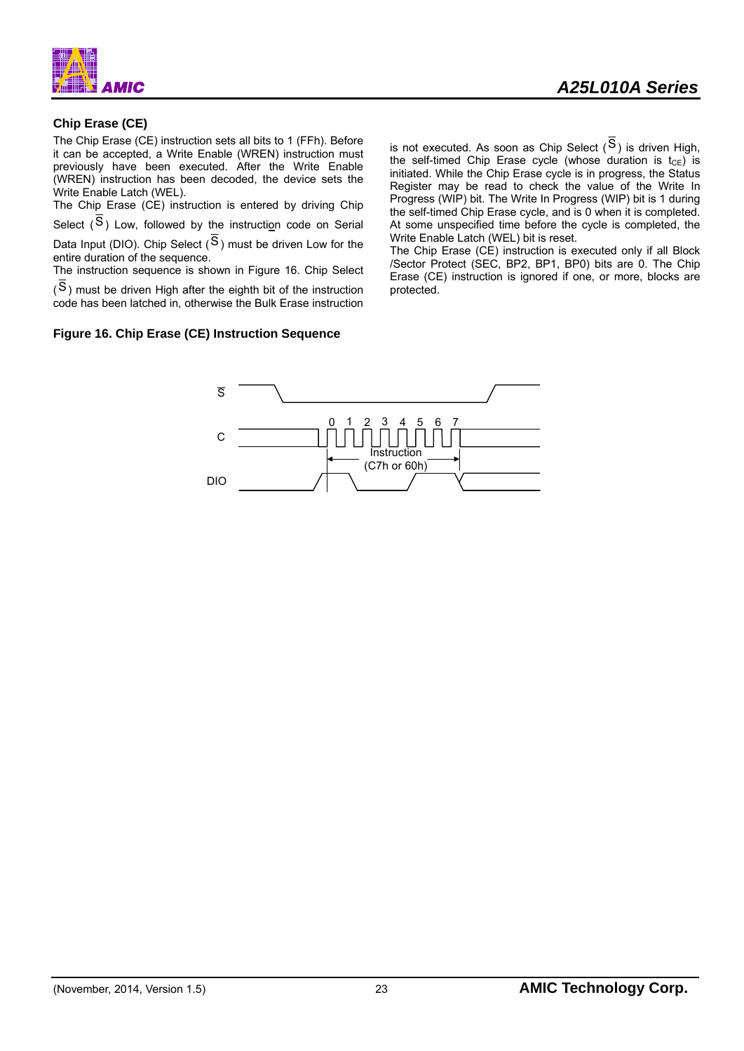![](_page_23_Figure_0.jpeg)

#### **Chip Erase (CE)**

The Chip Erase (CE) instruction sets all bits to 1 (FFh). Before it can be accepted, a Write Enable (WREN) instruction must previously have been executed. After the Write Enable (WREN) instruction has been decoded, the device sets the Write Enable Latch (WEL).

The Chip Erase (CE) instruction is entered by driving Chip Select  $(S)$  Low, followed by the instruction code on Serial Data Input (DIO). Chip Select  $(S)$  must be driven Low for the entire duration of the sequence.

The instruction sequence is shown in Figure 16. Chip Select

(S) must be driven High after the eighth bit of the instruction code has been latched in, otherwise the Bulk Erase instruction

#### **Figure 16. Chip Erase (CE) Instruction Sequence**

is not executed. As soon as Chip Select  $(S)$  is driven High, the self-timed Chip Erase cycle (whose duration is  $t_{CE}$ ) is initiated. While the Chip Erase cycle is in progress, the Status Register may be read to check the value of the Write In Progress (WIP) bit. The Write In Progress (WIP) bit is 1 during the self-timed Chip Erase cycle, and is 0 when it is completed. At some unspecified time before the cycle is completed, the Write Enable Latch (WEL) bit is reset.

The Chip Erase (CE) instruction is executed only if all Block /Sector Protect (SEC, BP2, BP1, BP0) bits are 0. The Chip Erase (CE) instruction is ignored if one, or more, blocks are protected.

![](_page_23_Figure_10.jpeg)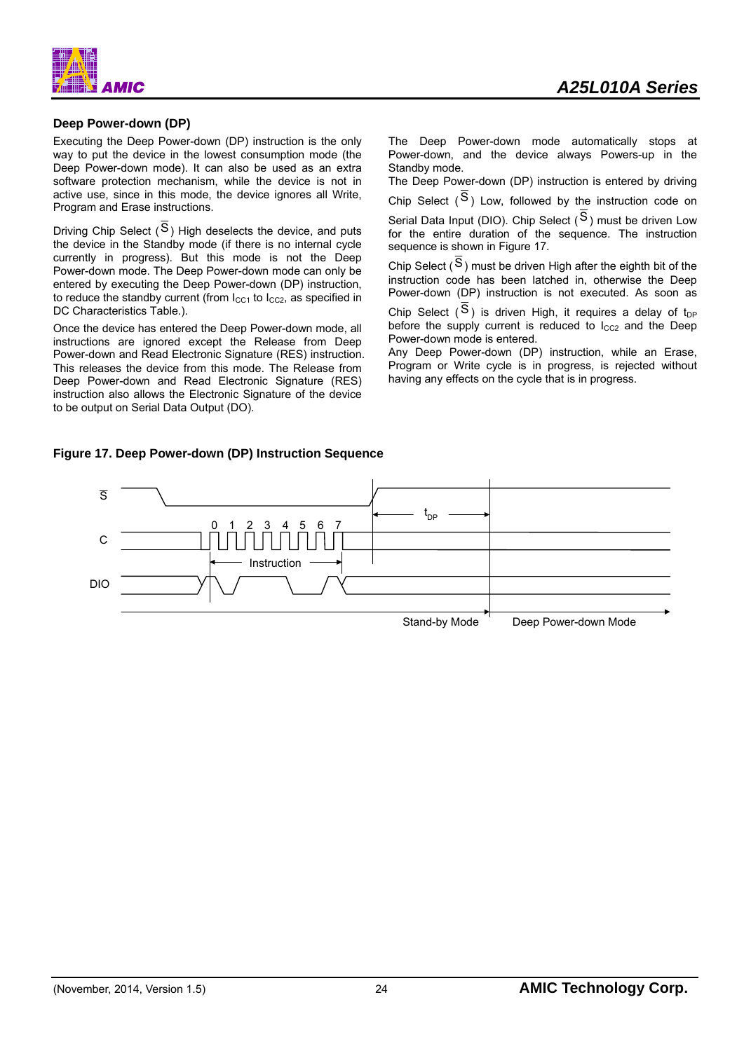![](_page_24_Picture_0.jpeg)

#### **Deep Power-down (DP)**

Executing the Deep Power-down (DP) instruction is the only way to put the device in the lowest consumption mode (the Deep Power-down mode). It can also be used as an extra software protection mechanism, while the device is not in active use, since in this mode, the device ignores all Write, Program and Erase instructions.

Driving Chip Select  $(S)$  High deselects the device, and puts the device in the Standby mode (if there is no internal cycle currently in progress). But this mode is not the Deep Power-down mode. The Deep Power-down mode can only be entered by executing the Deep Power-down (DP) instruction, to reduce the standby current (from  $l_{C11}$  to  $l_{C22}$ , as specified in DC Characteristics Table.).

Once the device has entered the Deep Power-down mode, all instructions are ignored except the Release from Deep Power-down and Read Electronic Signature (RES) instruction. This releases the device from this mode. The Release from Deep Power-down and Read Electronic Signature (RES) instruction also allows the Electronic Signature of the device to be output on Serial Data Output (DO).

*A25L010A Series* 

The Deep Power-down mode automatically stops at Power-down, and the device always Powers-up in the Standby mode.

The Deep Power-down (DP) instruction is entered by driving

Chip Select  $(S)$  Low, followed by the instruction code on Serial Data Input (DIO). Chip Select  $(S)$  must be driven Low for the entire duration of the sequence. The instruction sequence is shown in Figure 17.

Chip Select  $(S)$  must be driven High after the eighth bit of the instruction code has been latched in, otherwise the Deep Power-down (DP) instruction is not executed. As soon as

Chip Select  $(S)$  is driven High, it requires a delay of t<sub>DP</sub> before the supply current is reduced to  $I_{CC2}$  and the Deep Power-down mode is entered.

Any Deep Power-down (DP) instruction, while an Erase, Program or Write cycle is in progress, is rejected without having any effects on the cycle that is in progress.

#### **Figure 17. Deep Power-down (DP) Instruction Sequence**

![](_page_24_Figure_13.jpeg)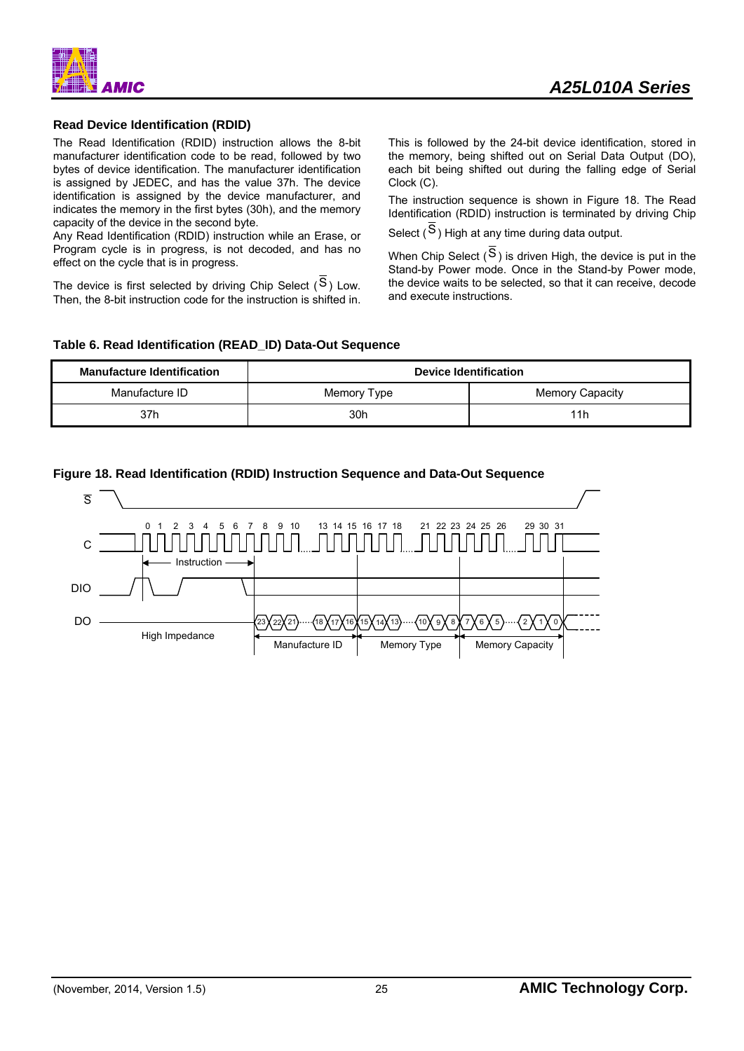![](_page_25_Picture_0.jpeg)

#### **Read Device Identification (RDID)**

The Read Identification (RDID) instruction allows the 8-bit manufacturer identification code to be read, followed by two bytes of device identification. The manufacturer identification is assigned by JEDEC, and has the value 37h. The device identification is assigned by the device manufacturer, and indicates the memory in the first bytes (30h), and the memory capacity of the device in the second byte.

Any Read Identification (RDID) instruction while an Erase, or Program cycle is in progress, is not decoded, and has no effect on the cycle that is in progress.

The device is first selected by driving Chip Select  $(S)$  Low. Then, the 8-bit instruction code for the instruction is shifted in.

This is followed by the 24-bit device identification, stored in the memory, being shifted out on Serial Data Output (DO), each bit being shifted out during the falling edge of Serial Clock (C).

The instruction sequence is shown in Figure 18. The Read Identification (RDID) instruction is terminated by driving Chip

Select  $(S)$  High at any time during data output.

When Chip Select  $(S)$  is driven High, the device is put in the Stand-by Power mode. Once in the Stand-by Power mode, the device waits to be selected, so that it can receive, decode and execute instructions.

#### **Table 6. Read Identification (READ\_ID) Data-Out Sequence**

| <b>Manufacture Identification</b> | <b>Device Identification</b> |                        |  |  |
|-----------------------------------|------------------------------|------------------------|--|--|
| Manufacture ID                    | Memory Type                  | <b>Memory Capacity</b> |  |  |
| 37h                               | 30h                          | 11h                    |  |  |

### **Figure 18. Read Identification (RDID) Instruction Sequence and Data-Out Sequence**

![](_page_25_Figure_13.jpeg)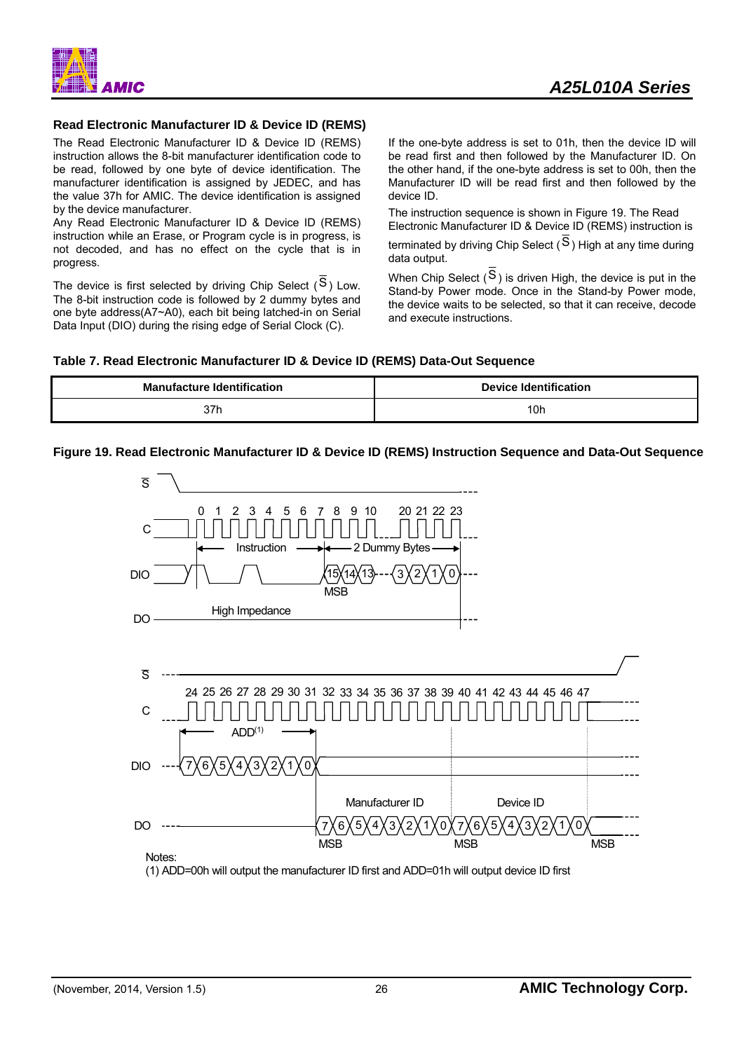![](_page_26_Picture_0.jpeg)

#### **Read Electronic Manufacturer ID & Device ID (REMS)**

The Read Electronic Manufacturer ID & Device ID (REMS) instruction allows the 8-bit manufacturer identification code to be read, followed by one byte of device identification. The manufacturer identification is assigned by JEDEC, and has the value 37h for AMIC. The device identification is assigned by the device manufacturer.

Any Read Electronic Manufacturer ID & Device ID (REMS) instruction while an Erase, or Program cycle is in progress, is not decoded, and has no effect on the cycle that is in progress.

The device is first selected by driving Chip Select  $(S)$  Low. The 8-bit instruction code is followed by 2 dummy bytes and one byte address(A7~A0), each bit being latched-in on Serial Data Input (DIO) during the rising edge of Serial Clock (C).

If the one-byte address is set to 01h, then the device ID will be read first and then followed by the Manufacturer ID. On the other hand, if the one-byte address is set to 00h, then the Manufacturer ID will be read first and then followed by the device ID.

The instruction sequence is shown in Figure 19. The Read Electronic Manufacturer ID & Device ID (REMS) instruction is

terminated by driving Chip Select ( $\overline{S}$ ) High at any time during data output.

When Chip Select  $(S)$  is driven High, the device is put in the Stand-by Power mode. Once in the Stand-by Power mode, the device waits to be selected, so that it can receive, decode and execute instructions.

![](_page_26_Figure_10.jpeg)

| <b>Manufacture Identification</b> | <b>Device Identification</b> |
|-----------------------------------|------------------------------|
| 37h                               | 10h                          |

#### **Figure 19. Read Electronic Manufacturer ID & Device ID (REMS) Instruction Sequence and Data-Out Sequence**

![](_page_26_Figure_13.jpeg)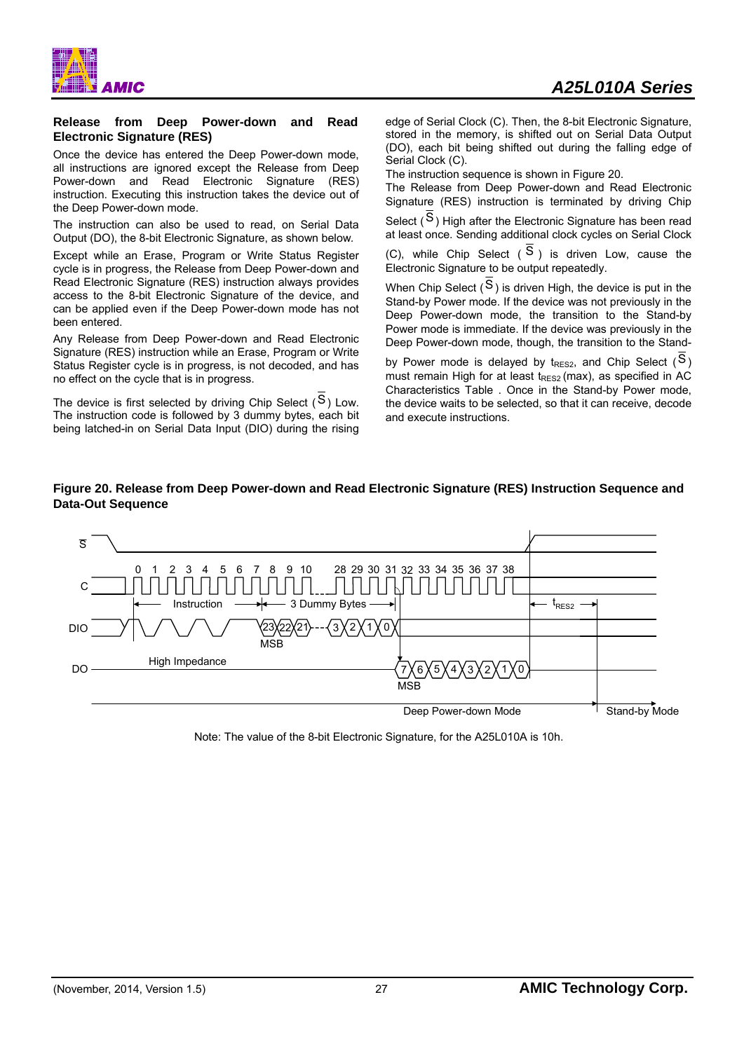![](_page_27_Picture_0.jpeg)

#### **Release from Deep Power-down and Read Electronic Signature (RES)**

Once the device has entered the Deep Power-down mode, all instructions are ignored except the Release from Deep Power-down and Read Electronic Signature (RES) instruction. Executing this instruction takes the device out of the Deep Power-down mode.

The instruction can also be used to read, on Serial Data Output (DO), the 8-bit Electronic Signature, as shown below*.*

Except while an Erase, Program or Write Status Register cycle is in progress, the Release from Deep Power-down and Read Electronic Signature (RES) instruction always provides access to the 8-bit Electronic Signature of the device, and can be applied even if the Deep Power-down mode has not been entered.

Any Release from Deep Power-down and Read Electronic Signature (RES) instruction while an Erase, Program or Write Status Register cycle is in progress, is not decoded, and has no effect on the cycle that is in progress.

The device is first selected by driving Chip Select  $(S)$  Low. The instruction code is followed by 3 dummy bytes, each bit being latched-in on Serial Data Input (DIO) during the rising edge of Serial Clock (C). Then, the 8-bit Electronic Signature, stored in the memory, is shifted out on Serial Data Output (DO), each bit being shifted out during the falling edge of Serial Clock (C).

The instruction sequence is shown in Figure 20.

The Release from Deep Power-down and Read Electronic Signature (RES) instruction is terminated by driving Chip

Select  $(S)$  High after the Electronic Signature has been read at least once. Sending additional clock cycles on Serial Clock

(C), while Chip Select  $(S)$  is driven Low, cause the Electronic Signature to be output repeatedly.

When Chip Select  $(\overline{S})$  is driven High, the device is put in the Stand-by Power mode. If the device was not previously in the Deep Power-down mode, the transition to the Stand-by Power mode is immediate. If the device was previously in the Deep Power-down mode, though, the transition to the Stand-

by Power mode is delayed by  $t_{RES2}$ , and Chip Select ( $S$ ) must remain High for at least  $t_{RES2}$  (max), as specified in AC Characteristics Table . Once in the Stand-by Power mode, the device waits to be selected, so that it can receive, decode and execute instructions.

#### **Figure 20. Release from Deep Power-down and Read Electronic Signature (RES) Instruction Sequence and Data-Out Sequence**

![](_page_27_Figure_16.jpeg)

Note: The value of the 8-bit Electronic Signature, for the A25L010A is 10h.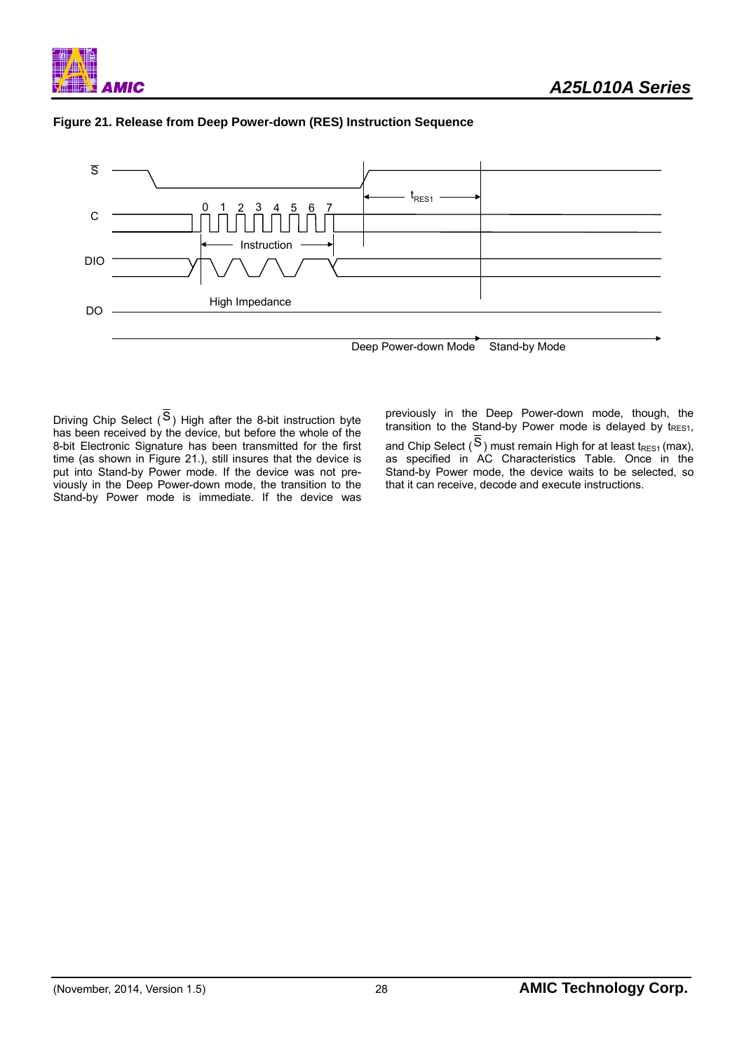![](_page_28_Picture_0.jpeg)

![](_page_28_Figure_2.jpeg)

![](_page_28_Figure_3.jpeg)

Driving Chip Select  $(S)$  High after the 8-bit instruction byte has been received by the device, but before the whole of the 8-bit Electronic Signature has been transmitted for the first time (as shown in Figure 21.), still insures that the device is put into Stand-by Power mode. If the device was not previously in the Deep Power-down mode, the transition to the Stand-by Power mode is immediate. If the device was

previously in the Deep Power-down mode, though, the transition to the Stand-by Power mode is delayed by tRES1, and Chip Select ( $S$ ) must remain High for at least t<sub>RES1</sub> (max), as specified in AC Characteristics Table. Once in the Stand-by Power mode, the device waits to be selected, so that it can receive, decode and execute instructions.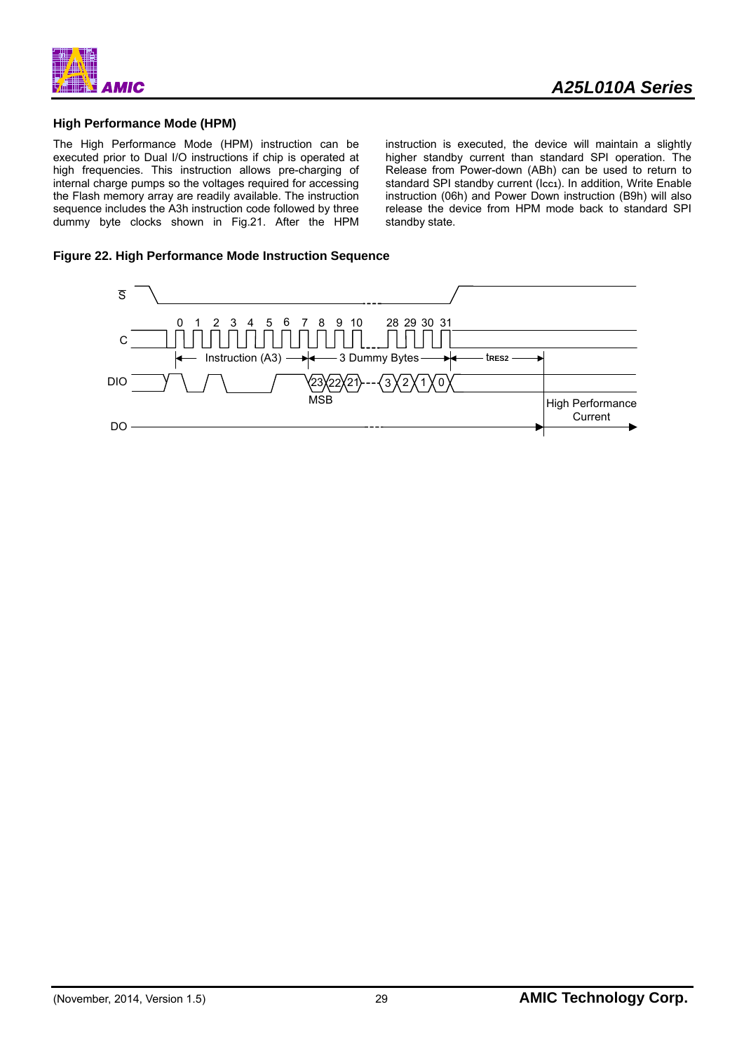![](_page_29_Picture_0.jpeg)

### **High Performance Mode (HPM)**

The High Performance Mode (HPM) instruction can be executed prior to Dual I/O instructions if chip is operated at high frequencies. This instruction allows pre-charging of internal charge pumps so the voltages required for accessing the Flash memory array are readily available. The instruction sequence includes the A3h instruction code followed by three dummy byte clocks shown in Fig.21. After the HPM instruction is executed, the device will maintain a slightly higher standby current than standard SPI operation. The Release from Power-down (ABh) can be used to return to standard SPI standby current (Icc1). In addition, Write Enable instruction (06h) and Power Down instruction (B9h) will also release the device from HPM mode back to standard SPI standby state.

#### **Figure 22. High Performance Mode Instruction Sequence**

![](_page_29_Figure_6.jpeg)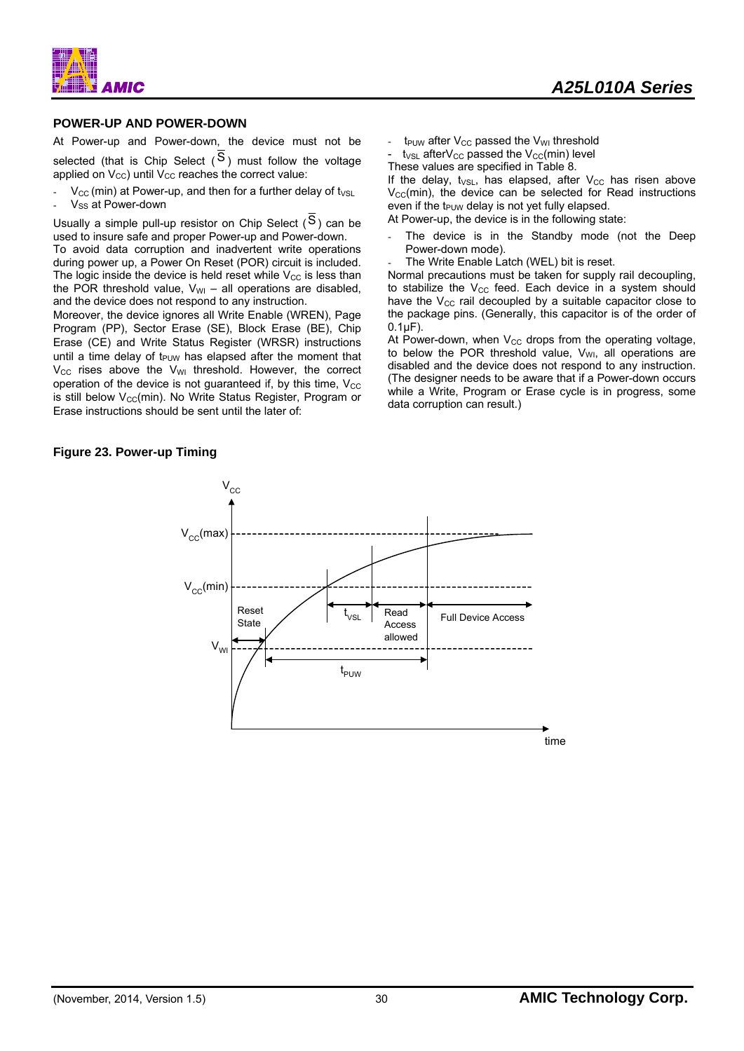*MIC* 

# *A25L010A Series*

#### **POWER-UP AND POWER-DOWN**

At Power-up and Power-down, the device must not be selected (that is Chip Select  $(S)$ ) must follow the voltage applied on  $V_{\text{CC}}$ ) until  $V_{\text{CC}}$  reaches the correct value:

- $V_{\text{CC}}$  (min) at Power-up, and then for a further delay of  $t_{\text{VSL}}$
- V<sub>SS</sub> at Power-down

Usually a simple pull-up resistor on Chip Select  $(S)$  can be used to insure safe and proper Power-up and Power-down. To avoid data corruption and inadvertent write operations during power up, a Power On Reset (POR) circuit is included. The logic inside the device is held reset while  $V_{\text{CC}}$  is less than the POR threshold value,  $V_{WI}$  – all operations are disabled, and the device does not respond to any instruction.

Moreover, the device ignores all Write Enable (WREN), Page Program (PP), Sector Erase (SE), Block Erase (BE), Chip Erase (CE) and Write Status Register (WRSR) instructions until a time delay of t<sub>PUW</sub> has elapsed after the moment that  $V_{CC}$  rises above the  $V_{WI}$  threshold. However, the correct operation of the device is not guaranteed if, by this time,  $V_{CC}$ is still below  $V_{CC}(min)$ . No Write Status Register, Program or Erase instructions should be sent until the later of:

**Figure 23. Power-up Timing** 

 $t_{\text{PUW}}$  after  $V_{\text{CC}}$  passed the  $V_{\text{WI}}$  threshold

 $t_{\text{VSL}}$  after $V_{\text{CC}}$  passed the  $V_{\text{CC}}(m\bar{m})$  level

These values are specified in Table 8.

If the delay,  $t_{VSL}$ , has elapsed, after  $V_{CC}$  has risen above  $V_{\text{CC}}$ (min), the device can be selected for Read instructions even if the  $t_{PUW}$  delay is not yet fully elapsed.

At Power-up, the device is in the following state:

- The device is in the Standby mode (not the Deep Power-down mode).
- The Write Enable Latch (WEL) bit is reset.

Normal precautions must be taken for supply rail decoupling, to stabilize the  $V_{CC}$  feed. Each device in a system should have the  $V_{CC}$  rail decoupled by a suitable capacitor close to the package pins. (Generally, this capacitor is of the order of  $0.1$  $F$ ).

At Power-down, when  $V_{CC}$  drops from the operating voltage. to below the POR threshold value,  $V_{WI}$ , all operations are disabled and the device does not respond to any instruction. (The designer needs to be aware that if a Power-down occurs while a Write, Program or Erase cycle is in progress, some data corruption can result.)

![](_page_30_Figure_18.jpeg)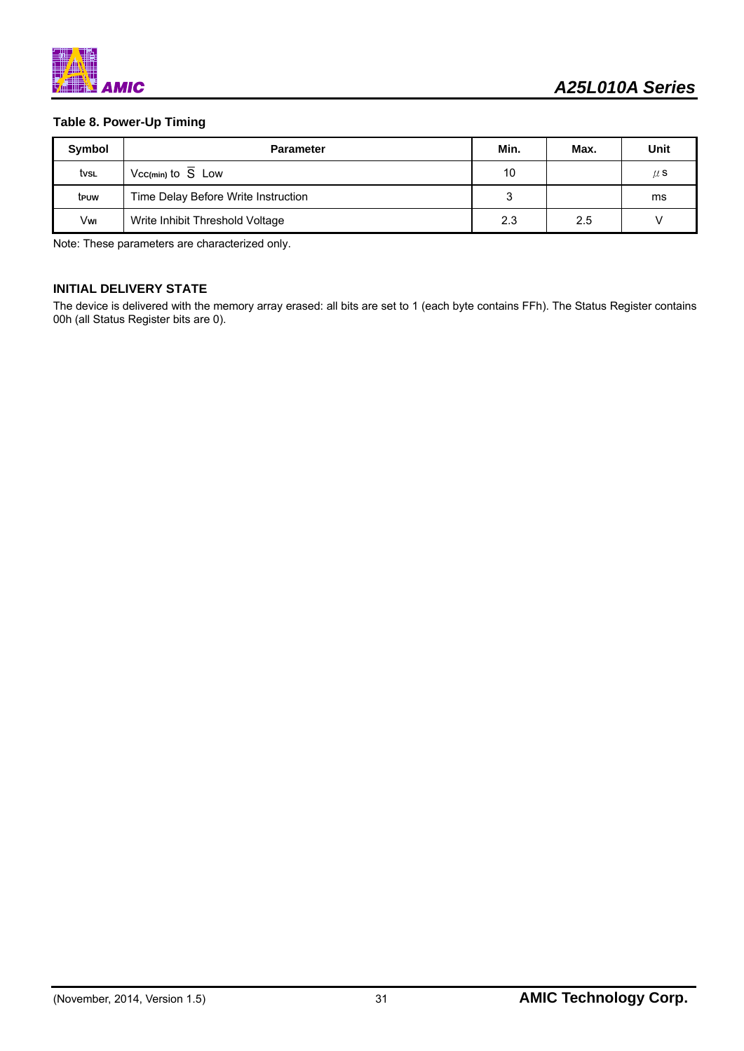![](_page_31_Picture_0.jpeg)

### **Table 8. Power-Up Timing**

| Symbol | <b>Parameter</b>                    | Min. | Max. | Unit    |
|--------|-------------------------------------|------|------|---------|
| tvsl   | Vcc(min) to S Low                   | 10   |      | $\mu$ S |
| teuw   | Time Delay Before Write Instruction |      |      | ms      |
| Vwi    | Write Inhibit Threshold Voltage     | 2.3  | 2.5  |         |

Note: These parameters are characterized only.

#### **INITIAL DELIVERY STATE**

The device is delivered with the memory array erased: all bits are set to 1 (each byte contains FFh). The Status Register contains 00h (all Status Register bits are 0).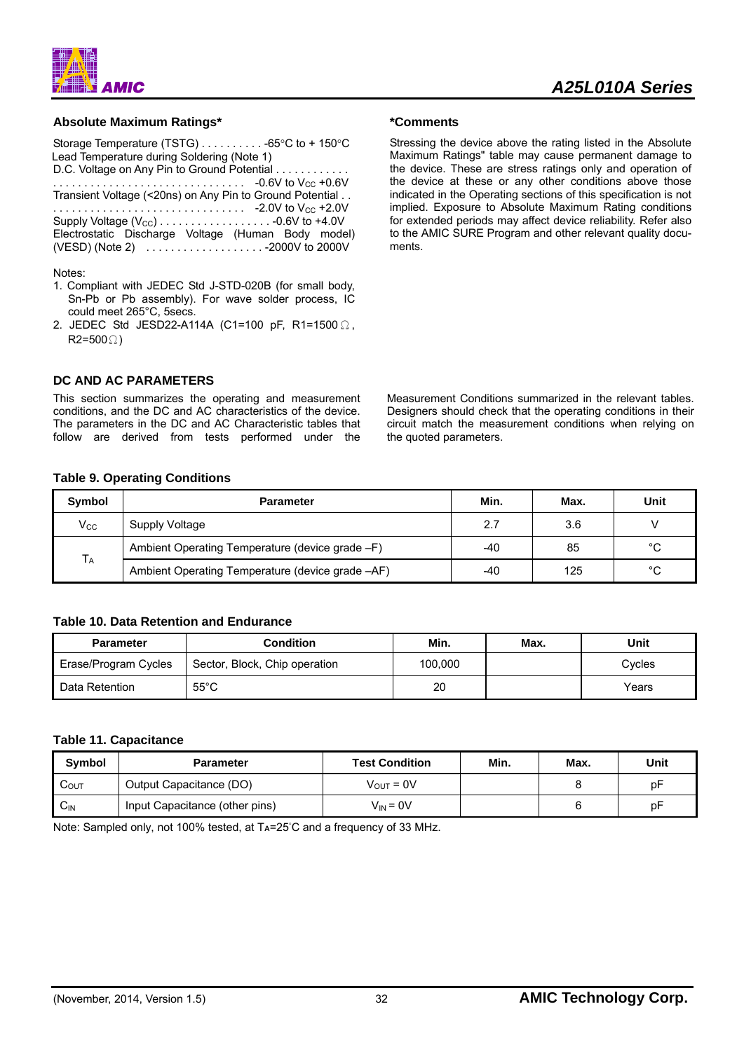![](_page_32_Figure_0.jpeg)

**Absolute Maximum Ratings\*** 

**AMIC** 

D.C. Voltage on Any Pin to Ground Potential . . . . . . . . . . . . . . . . . . . . . . . . . . . . . . . . . . . . . . . . . -0.6V to VCC +0.6V Transient Voltage (<20ns) on Any Pin to Ground Potential . . . . . . . . . . . . . . . . . . . . . . . . . . . . . . . . . -2.0V to VCC +2.0V Supply Voltage (VCC) . . . . . . . . . . . . . . . . . . -0.6V to +4.0V Electrostatic Discharge Voltage (Human Body model) (VESD) (Note 2) . . . . . . . . . . . . . . . . . . . -2000V to 2000V

## Notes:

- 1. Compliant with JEDEC Std J-STD-020B (for small body, Sn-Pb or Pb assembly). For wave solder process, IC could meet 265°C, 5secs.
- 2. JEDEC Std JESD22-A114A (C1=100 pF, R1=1500 Ω,  $R2=500$  $\Omega$ )

# **DC AND AC PARAMETERS**

This section summarizes the operating and measurement conditions, and the DC and AC characteristics of the device. The parameters in the DC and AC Characteristic tables that follow are derived from tests performed under the

**\*Comments** 

Stressing the device above the rating listed in the Absolute Maximum Ratings" table may cause permanent damage to the device. These are stress ratings only and operation of the device at these or any other conditions above those indicated in the Operating sections of this specification is not implied. Exposure to Absolute Maximum Rating conditions for extended periods may affect device reliability. Refer also to the AMIC SURE Program and other relevant quality documents.

Measurement Conditions summarized in the relevant tables. Designers should check that the operating conditions in their circuit match the measurement conditions when relying on the quoted parameters.

# **Table 9. Operating Conditions**

| Symbol                | <b>Parameter</b>                                 | Min. | Max. | Unit         |
|-----------------------|--------------------------------------------------|------|------|--------------|
| $V_{\rm CC}$          | Supply Voltage                                   | 2.7  | 3.6  |              |
| <b>T</b> <sub>A</sub> | Ambient Operating Temperature (device grade -F)  | -40  | 85   | $^{\circ}$ C |
|                       | Ambient Operating Temperature (device grade -AF) | -40  | 125  | °C           |

# **Table 10. Data Retention and Endurance**

| <b>Parameter</b>     | Condition                     | Min.    | Max. | Unit   |
|----------------------|-------------------------------|---------|------|--------|
| Erase/Program Cycles | Sector, Block, Chip operation | 100.000 |      | Cvcles |
| Data Retention       | $55^{\circ}$ C                | 20      |      | Years  |

# **Table 11. Capacitance**

| Symbol           | <b>Parameter</b>               | <b>Test Condition</b> | Min. | Max. | Unit |
|------------------|--------------------------------|-----------------------|------|------|------|
| $C_{\text{OUT}}$ | Output Capacitance (DO)        | $V_{\text{OUT}} = 0V$ |      |      | pF   |
| $C_{IN}$         | Input Capacitance (other pins) | $V_{IN} = 0V$         |      |      | pF   |

Note: Sampled only, not 100% tested, at T<sub>A</sub>=25°C and a frequency of 33 MHz.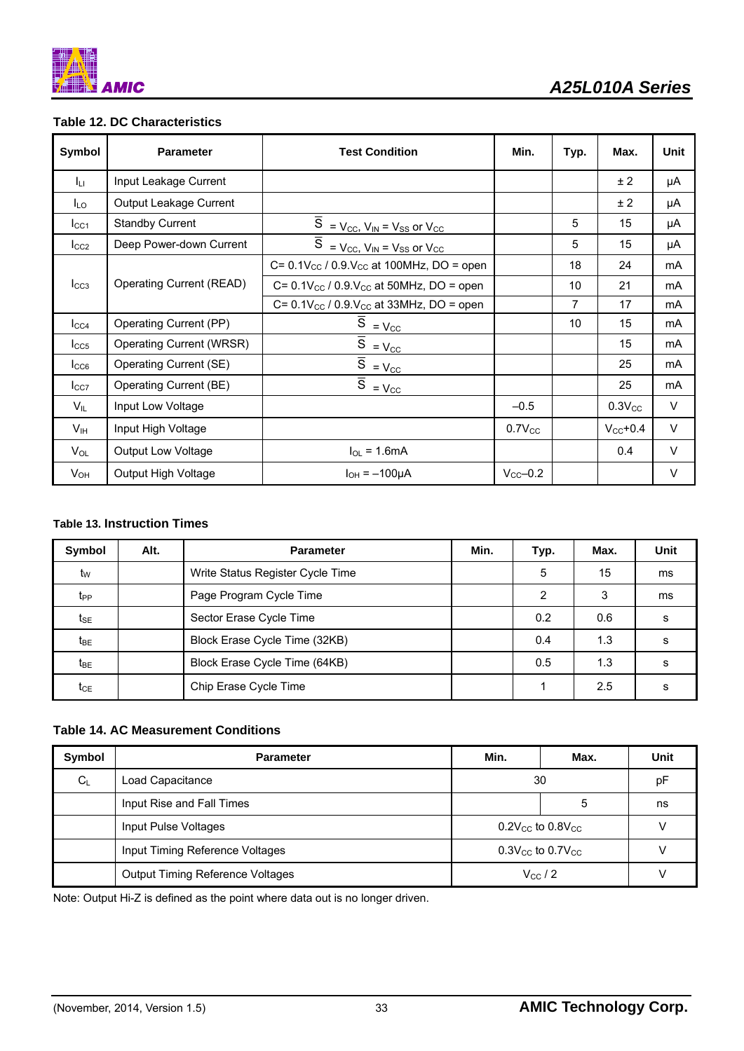![](_page_33_Picture_0.jpeg)

# **Table 12. DC Characteristics**

| Symbol           | <b>Parameter</b>          | <b>Test Condition</b>                                                                   | Min.                 | Typ. | Max.          | Unit   |
|------------------|---------------------------|-----------------------------------------------------------------------------------------|----------------------|------|---------------|--------|
| Ju.              | Input Leakage Current     |                                                                                         |                      |      | ± 2           | μA     |
| I <sub>LO</sub>  | Output Leakage Current    |                                                                                         |                      |      | ± 2           | μA     |
| $_{\text{LCA}}$  | <b>Standby Current</b>    | $\overline{S}$ = $V_{\text{CC}}$ , $V_{\text{IN}}$ = $V_{\text{SS}}$ or $V_{\text{CC}}$ |                      | 5    | 15            | μA     |
| $_{\text{LCC2}}$ | Deep Power-down Current   | $\overline{S}$ = V <sub>CC</sub> , V <sub>IN</sub> = V <sub>SS</sub> or V <sub>CC</sub> |                      | 5    | 15            | μA     |
|                  |                           | C= $0.1V_{CC}$ / $0.9V_{CC}$ at 100MHz, DO = open                                       |                      | 18   | 24            | mA     |
| $I_{CC3}$        | Operating Current (READ)  | $C = 0.1 V_{CC} / 0.9 V_{CC}$ at 50MHz, DO = open                                       |                      | 10   | 21            | mA     |
|                  |                           | C= $0.1V_{CC}$ / $0.9.V_{CC}$ at 33MHz, DO = open                                       |                      | 7    | 17            | mA     |
| $I_{CC4}$        | Operating Current (PP)    | $\overline{S} = V_{\text{CC}}$                                                          |                      | 10   | 15            | mA     |
| $_{\text{LCS}}$  | Operating Current (WRSR)  | $\overline{S} = \underline{V_{CC}}$                                                     |                      |      | 15            | mA     |
| $_{\text{LCG}}$  | Operating Current (SE)    | $\overline{\overline{S}}$ = $V_{\text{CC}}$                                             |                      |      | 25            | mA     |
| $I_{CC7}$        | Operating Current (BE)    | $\overline{\overline{S}}$ = $V_{\text{CC}}$                                             |                      |      | 25            | mA     |
| $V_{IL}$         | Input Low Voltage         |                                                                                         | $-0.5$               |      | $0.3V_{CC}$   | V      |
| V <sub>IH</sub>  | Input High Voltage        |                                                                                         | $0.7V_{CC}$          |      | $V_{CC}$ +0.4 | V      |
| $V_{OL}$         | <b>Output Low Voltage</b> | $I_{OL}$ = 1.6mA                                                                        |                      |      | 0.4           | V      |
| $V_{OH}$         | Output High Voltage       | $I_{OH} = -100 \mu A$                                                                   | $V_{\text{CC}}$ -0.2 |      |               | $\vee$ |

### **Table 13. Instruction Times**

| Symbol          | Alt. | <b>Parameter</b>                 | Min. | Typ. | Max. | Unit |
|-----------------|------|----------------------------------|------|------|------|------|
| tw              |      | Write Status Register Cycle Time |      | 5    | 15   | ms   |
| t <sub>PP</sub> |      | Page Program Cycle Time          |      | 2    | 3    | ms   |
| t <sub>SE</sub> |      | Sector Erase Cycle Time          |      | 0.2  | 0.6  | s    |
| t <sub>BE</sub> |      | Block Erase Cycle Time (32KB)    |      | 0.4  | 1.3  | s    |
| t <sub>BE</sub> |      | Block Erase Cycle Time (64KB)    |      | 0.5  | 1.3  | s    |
| $t_{CE}$        |      | Chip Erase Cycle Time            |      |      | 2.5  | s    |

### **Table 14. AC Measurement Conditions**

| Symbol | <b>Parameter</b>                                            | Min.                               | Max.                               | Unit |
|--------|-------------------------------------------------------------|------------------------------------|------------------------------------|------|
| $C_L$  | Load Capacitance                                            |                                    | 30                                 |      |
|        | Input Rise and Fall Times                                   |                                    | 5                                  | ns   |
|        | Input Pulse Voltages                                        |                                    | $0.2V_{\rm CC}$ to $0.8V_{\rm CC}$ |      |
|        | Input Timing Reference Voltages                             | $0.3V_{\rm CC}$ to $0.7V_{\rm CC}$ |                                    |      |
|        | <b>Output Timing Reference Voltages</b><br>$V_{\rm CC}$ / 2 |                                    |                                    |      |

Note: Output Hi-Z is defined as the point where data out is no longer driven.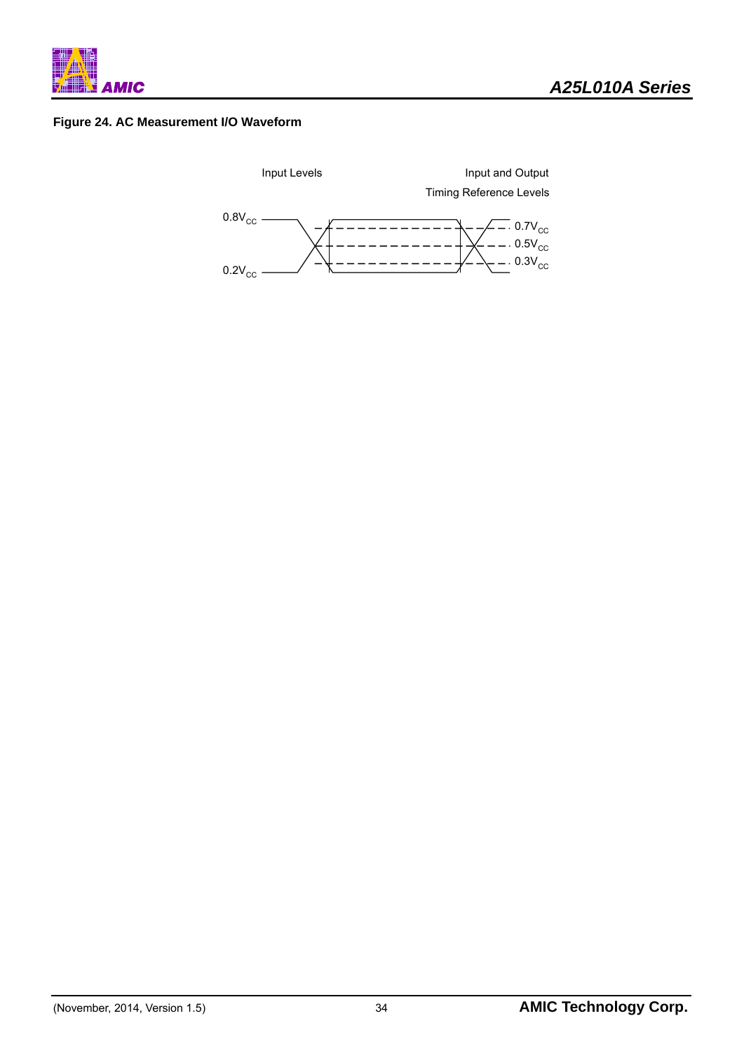![](_page_34_Figure_0.jpeg)

### **Figure 24. AC Measurement I/O Waveform**

![](_page_34_Figure_3.jpeg)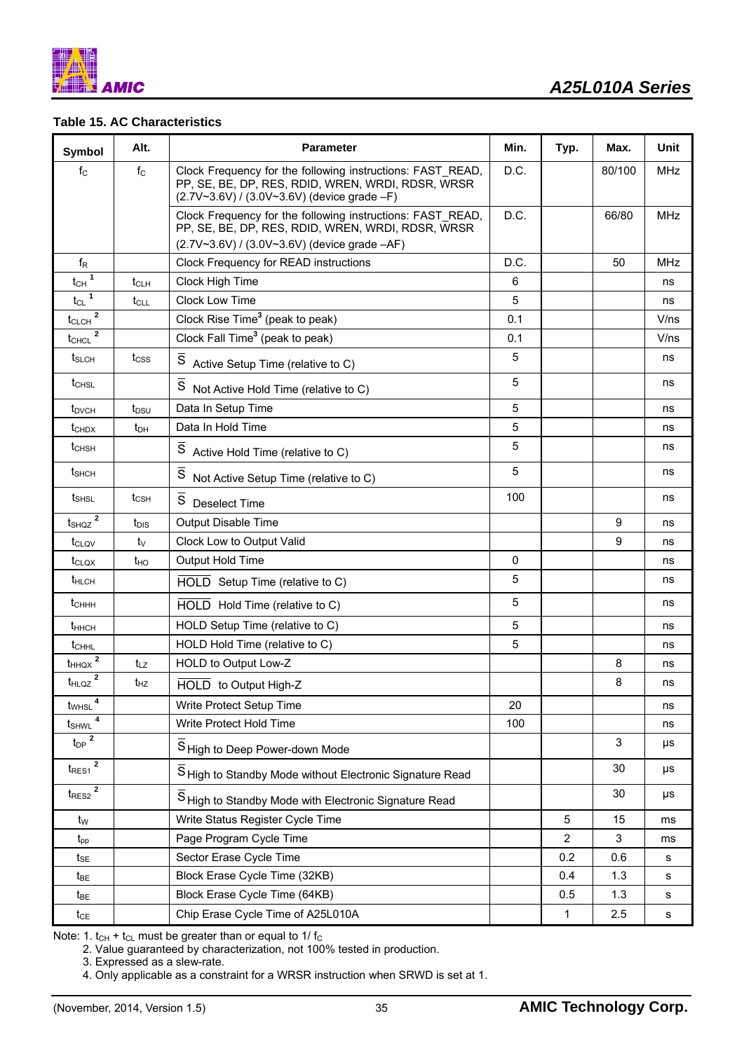![](_page_35_Figure_0.jpeg)

## **Table 15. AC Characteristics**

| Symbol                                          | Alt.             | <b>Parameter</b>                                                                                                                                                | Min. | Typ.           | Max.   | <b>Unit</b> |
|-------------------------------------------------|------------------|-----------------------------------------------------------------------------------------------------------------------------------------------------------------|------|----------------|--------|-------------|
| $f_{\rm C}$                                     | $f_{\rm C}$      | Clock Frequency for the following instructions: FAST READ,<br>PP, SE, BE, DP, RES, RDID, WREN, WRDI, RDSR, WRSR<br>(2.7V~3.6V) / (3.0V~3.6V) (device grade -F)  | D.C. |                | 80/100 | <b>MHz</b>  |
|                                                 |                  | Clock Frequency for the following instructions: FAST READ,<br>PP, SE, BE, DP, RES, RDID, WREN, WRDI, RDSR, WRSR<br>(2.7V~3.6V) / (3.0V~3.6V) (device grade -AF) | D.C. |                | 66/80  | <b>MHz</b>  |
| $f_{R}$                                         |                  | Clock Frequency for READ instructions                                                                                                                           | D.C. |                | 50     | <b>MHz</b>  |
| $t_{CH}$ <sup>1</sup>                           | t <sub>CLH</sub> | Clock High Time                                                                                                                                                 | 6    |                |        | ns          |
| $t_{CL}$ <sup>1</sup>                           | $t_{\text{CL}}$  | Clock Low Time                                                                                                                                                  | 5    |                |        | ns          |
| $\underline{\text{t}_{CLCH}}^2$                 |                  | Clock Rise Time <sup>3</sup> (peak to peak)                                                                                                                     | 0.1  |                |        | V/ns        |
| $\mathbf{2}$<br>$t_{CHCL}$                      |                  | Clock Fall Time <sup>3</sup> (peak to peak)                                                                                                                     | 0.1  |                |        | V/ns        |
| $t_{SLCH}$                                      | $t_{\text{CSS}}$ | S Active Setup Time (relative to C)                                                                                                                             | 5    |                |        | ns          |
| $t_{CHSL}$                                      |                  | $\overline{\mathsf{s}}$<br>Not Active Hold Time (relative to C)                                                                                                 | 5    |                |        | ns          |
| t <sub>DVCH</sub>                               | $t_{DSU}$        | Data In Setup Time                                                                                                                                              | 5    |                |        | ns          |
| $t_{\text{CHDX}}$                               | $t_{DH}$         | Data In Hold Time                                                                                                                                               | 5    |                |        | ns          |
| t <sub>CHSH</sub>                               |                  | S<br>Active Hold Time (relative to C)                                                                                                                           | 5    |                |        | ns          |
| $t_{\text{SHCH}}$                               |                  | $\overline{s}$<br>Not Active Setup Time (relative to C)                                                                                                         | 5    |                |        | ns          |
| t <sub>SHSL</sub>                               | $t_{\text{CSH}}$ | $\overline{\mathsf{s}}$<br><b>Deselect Time</b>                                                                                                                 | 100  |                |        | ns          |
| $t_{SHQZ}$ <sup>2</sup>                         | t <sub>DIS</sub> | Output Disable Time                                                                                                                                             |      |                | 9      | ns          |
| t <sub>CLOV</sub>                               | tv               | Clock Low to Output Valid                                                                                                                                       |      |                | 9      | ns          |
| t <sub>CLOX</sub>                               | $t_{HO}$         | Output Hold Time                                                                                                                                                | 0    |                |        | ns          |
| t <sub>HLCH</sub>                               |                  | HOLD Setup Time (relative to C)                                                                                                                                 | 5    |                |        | ns          |
| $t$ <sub>CHHH</sub>                             |                  | HOLD Hold Time (relative to C)                                                                                                                                  | 5    |                |        | ns          |
| $t_{HHCH}$                                      |                  | HOLD Setup Time (relative to C)                                                                                                                                 | 5    |                |        | ns          |
| $t_{\text{CHHL}}$                               |                  | HOLD Hold Time (relative to C)                                                                                                                                  | 5    |                |        | ns          |
| $t_{HHQX}$ <sup>2</sup>                         | $t_{LZ}$         | HOLD to Output Low-Z                                                                                                                                            |      |                | 8      | ns          |
| $t_{HLQZ}$ <sup>2</sup>                         | $t_{HZ}$         | HOLD to Output High-Z                                                                                                                                           |      |                | 8      | ns          |
| 4<br>t <sub>WHSL</sub>                          |                  | Write Protect Setup Time                                                                                                                                        | 20   |                |        | ns          |
| tshwl                                           |                  | Write Protect Hold Time                                                                                                                                         | 100  |                |        | ns          |
| $t_{DP}$ $\overline{2}$                         |                  | S High to Deep Power-down Mode                                                                                                                                  |      |                | 3      | μs          |
| $t_{\sf RES1}$ $\overline{2}$                   |                  | S High to Standby Mode without Electronic Signature Read                                                                                                        |      |                | 30     | μs          |
| $t_{\rm RES2}$ $\overline{\rule{0pt}{1.5ex}^2}$ |                  | S High to Standby Mode with Electronic Signature Read                                                                                                           |      |                | 30     | μs          |
| $t_{W}$                                         |                  | Write Status Register Cycle Time                                                                                                                                |      | 5              | 15     | ms          |
| $t_{\mathsf{pp}}$                               |                  | Page Program Cycle Time                                                                                                                                         |      | $\overline{2}$ | 3      | ms          |
| $t_{\text{SE}}$                                 |                  | Sector Erase Cycle Time                                                                                                                                         |      | 0.2            | 0.6    | s           |
| $t_{BE}$                                        |                  | Block Erase Cycle Time (32KB)                                                                                                                                   |      | 0.4            | 1.3    | s           |
| $t_{BE}$                                        |                  | Block Erase Cycle Time (64KB)                                                                                                                                   |      | 0.5            | 1.3    | s           |
| $t_{CE}$                                        |                  | Chip Erase Cycle Time of A25L010A                                                                                                                               |      | 1              | 2.5    | s           |

Note: 1.  $t_{CH}$  +  $t_{CL}$  must be greater than or equal to 1/ $f_{C}$ 

2. Value guaranteed by characterization, not 100% tested in production.

3. Expressed as a slew-rate.

4. Only applicable as a constraint for a WRSR instruction when SRWD is set at 1.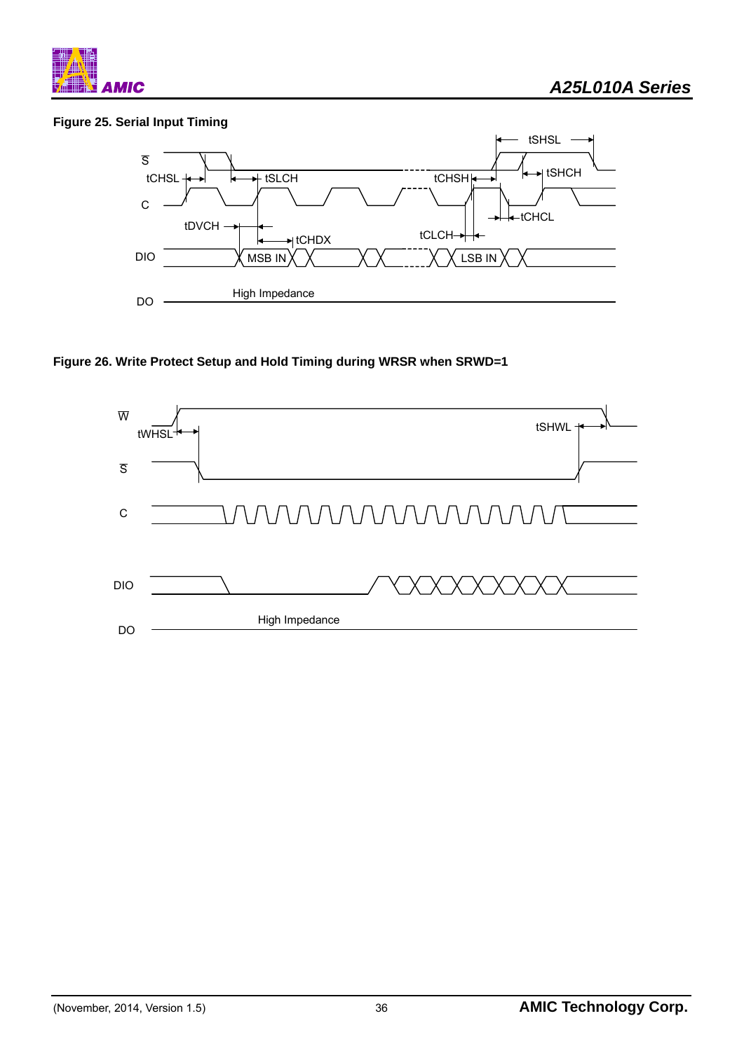![](_page_36_Figure_0.jpeg)

# **Figure 25. Serial Input Timing**

![](_page_36_Figure_3.jpeg)

# **Figure 26. Write Protect Setup and Hold Timing during WRSR when SRWD=1**

![](_page_36_Figure_5.jpeg)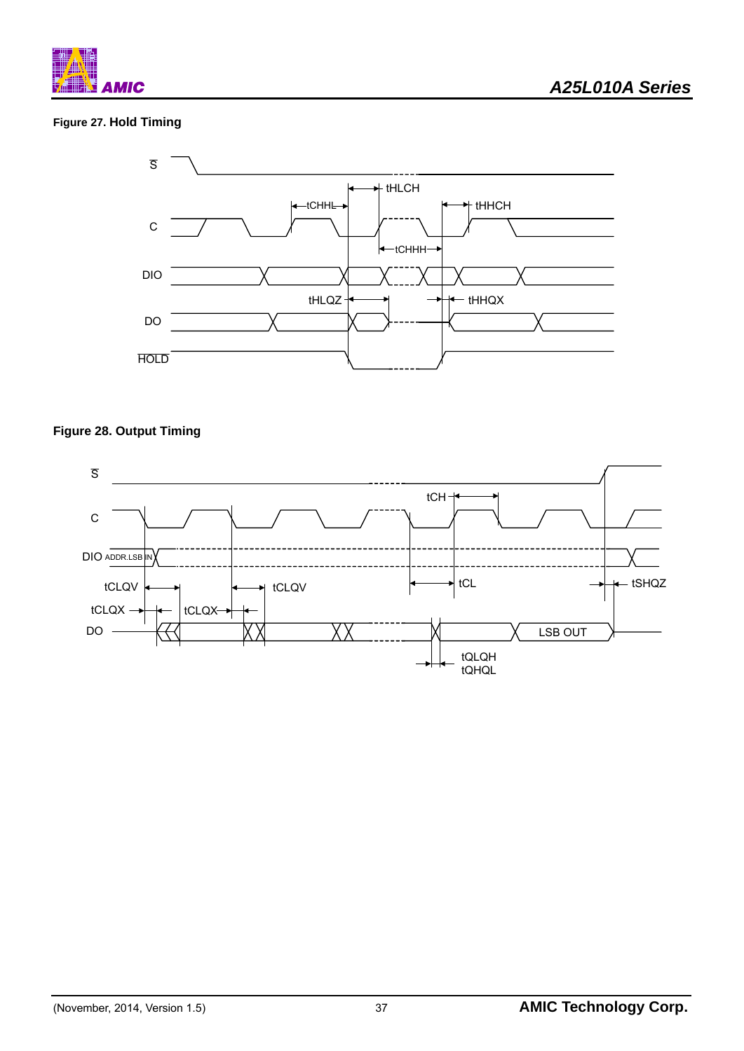![](_page_37_Picture_0.jpeg)

# **Figure 27. Hold Timing**

![](_page_37_Figure_3.jpeg)

# **Figure 28. Output Timing**

![](_page_37_Figure_5.jpeg)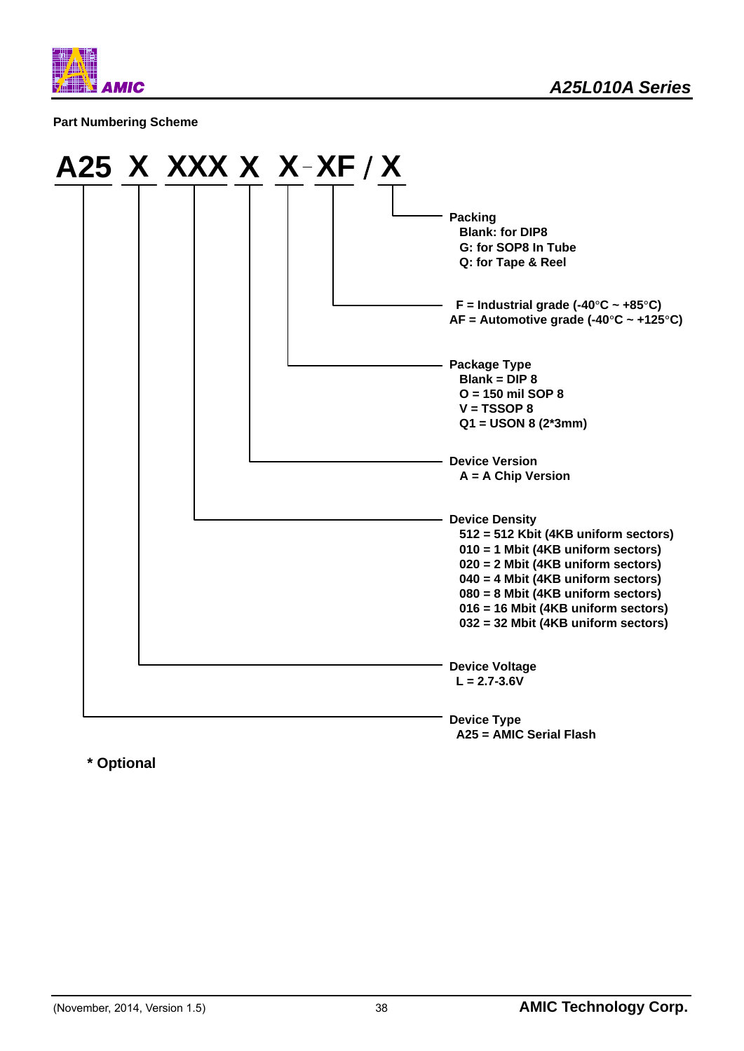![](_page_38_Picture_0.jpeg)

#### **Part Numbering Scheme**

![](_page_38_Figure_3.jpeg)

**\* Optional**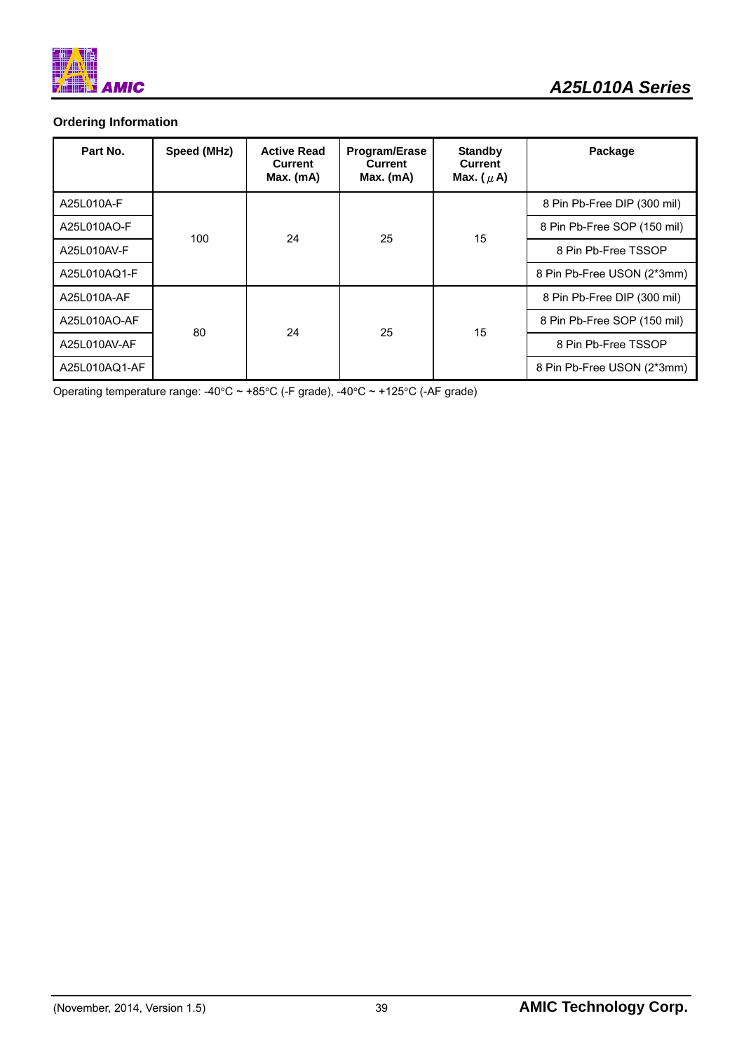![](_page_39_Picture_0.jpeg)

# **Ordering Information**

| Part No.      | Speed (MHz) | <b>Active Read</b><br><b>Current</b><br>Max. (mA) | <b>Program/Erase</b><br>Current<br>$Max.$ (mA) | <b>Standby</b><br><b>Current</b><br>Max. $(\mu A)$ | Package                     |
|---------------|-------------|---------------------------------------------------|------------------------------------------------|----------------------------------------------------|-----------------------------|
| A25L010A-F    |             | 24                                                | 25                                             |                                                    | 8 Pin Pb-Free DIP (300 mil) |
| A25L010AO-F   |             |                                                   |                                                | 15                                                 | 8 Pin Pb-Free SOP (150 mil) |
| A25L010AV-F   | 100         |                                                   |                                                |                                                    | 8 Pin Pb-Free TSSOP         |
| A25L010AQ1-F  |             |                                                   |                                                |                                                    | 8 Pin Pb-Free USON (2*3mm)  |
| A25L010A-AF   |             |                                                   |                                                |                                                    | 8 Pin Pb-Free DIP (300 mil) |
| A25L010AO-AF  |             |                                                   |                                                | 25                                                 | 15                          |
| A25L010AV-AF  | 80          | 24                                                |                                                |                                                    | 8 Pin Pb-Free TSSOP         |
| A25L010AQ1-AF |             |                                                   |                                                |                                                    | 8 Pin Pb-Free USON (2*3mm)  |

Operating temperature range:  $-40^{\circ}$ C ~ +85°C (-F grade),  $-40^{\circ}$ C ~ +125°C (-AF grade)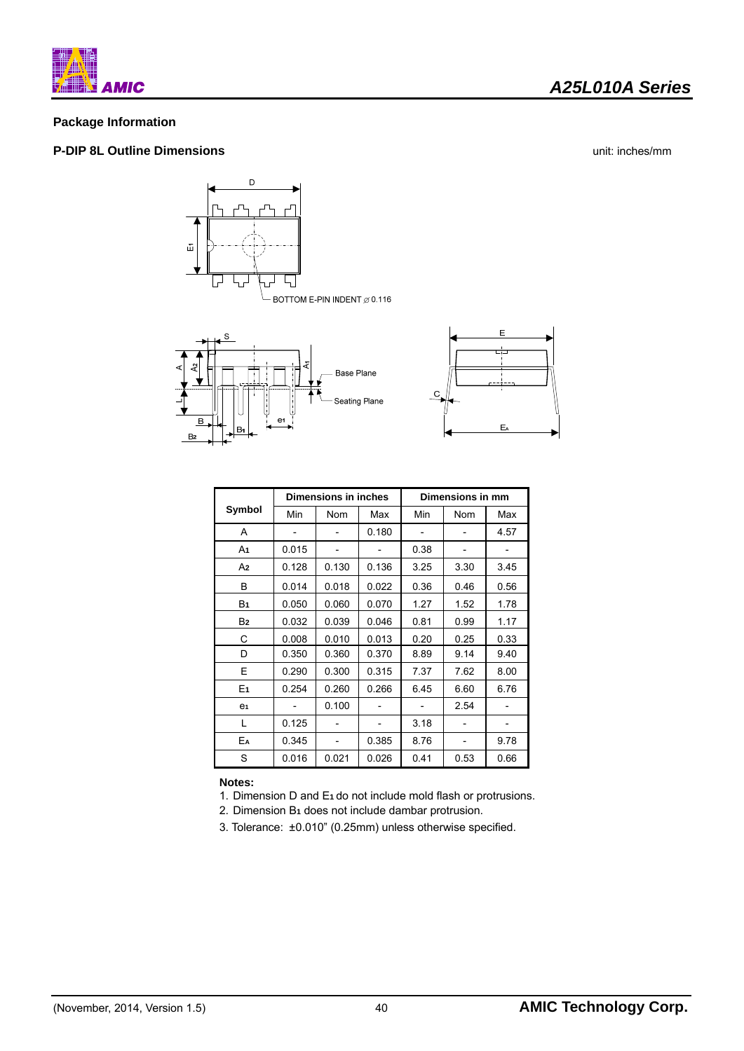![](_page_40_Picture_0.jpeg)

# *A25L010A Series*

## **Package Information**

#### **P-DIP 8L Outline Dimensions** unit: inches/mm

![](_page_40_Figure_5.jpeg)

![](_page_40_Figure_6.jpeg)

 $B<sub>2</sub>$ 

![](_page_40_Figure_7.jpeg)

|                |       | Dimensions in inches |       | Dimensions in mm |            |      |  |
|----------------|-------|----------------------|-------|------------------|------------|------|--|
| Symbol         | Min   | <b>Nom</b>           | Max   | Min              | <b>Nom</b> | Max  |  |
| A              |       |                      | 0.180 |                  |            | 4.57 |  |
| A1             | 0.015 |                      |       | 0.38             |            |      |  |
| A2             | 0.128 | 0.130                | 0.136 | 3.25             | 3.30       | 3.45 |  |
| B              | 0.014 | 0.018                | 0.022 | 0.36             | 0.46       | 0.56 |  |
| B <sub>1</sub> | 0.050 | 0.060                | 0.070 | 1.27             | 1.52       | 1.78 |  |
| B <sub>2</sub> | 0.032 | 0.039                | 0.046 | 0.81             | 0.99       | 1.17 |  |
| С              | 0.008 | 0.010                | 0.013 | 0.20             | 0.25       | 0.33 |  |
| D              | 0.350 | 0.360                | 0.370 | 8.89             | 9.14       | 9.40 |  |
| E              | 0.290 | 0.300                | 0.315 | 7.37             | 7.62       | 8.00 |  |
| E <sub>1</sub> | 0.254 | 0.260                | 0.266 | 6.45             | 6.60       | 6.76 |  |
| e <sub>1</sub> |       | 0.100                |       |                  | 2.54       |      |  |
| L              | 0.125 |                      |       | 3.18             |            |      |  |
| EA             | 0.345 |                      | 0.385 | 8.76             |            | 9.78 |  |
| S              | 0.016 | 0.021                | 0.026 | 0.41             | 0.53       | 0.66 |  |

**Notes:** 

- 1. Dimension D and E**1** do not include mold flash or protrusions.
- 2. Dimension B**1** does not include dambar protrusion.
- 3. Tolerance: ±0.010" (0.25mm) unless otherwise specified.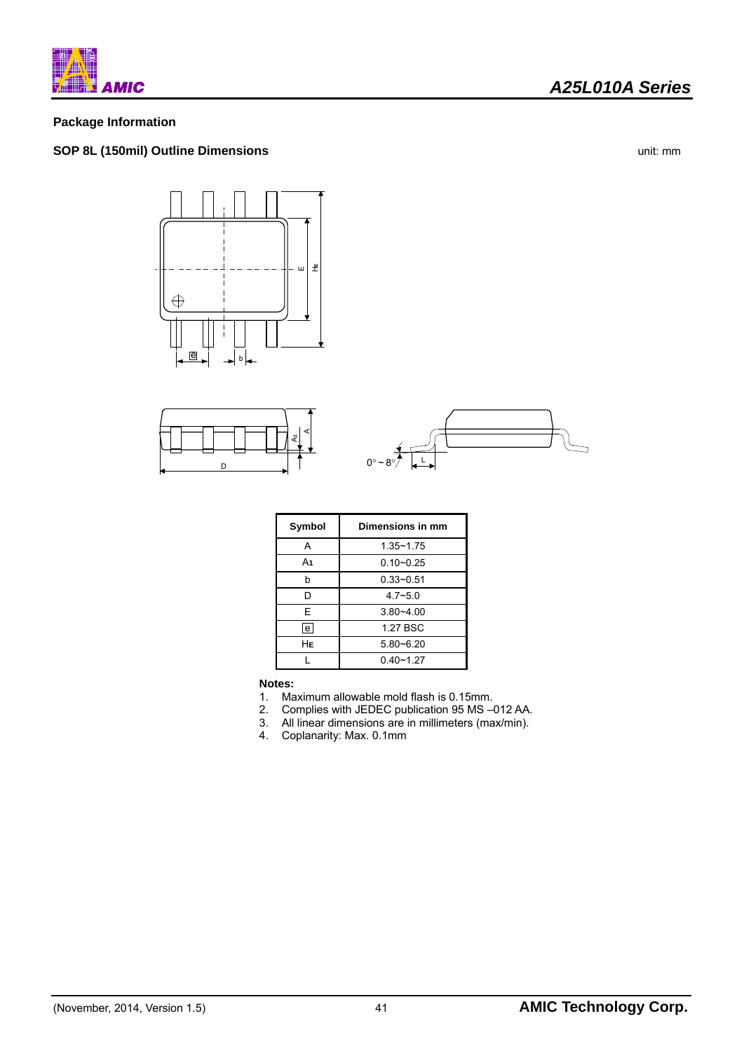![](_page_41_Picture_0.jpeg)

### **Package Information**

# **SOP 8L (150mil) Outline Dimensions** unit: mm

![](_page_41_Figure_5.jpeg)

![](_page_41_Figure_6.jpeg)

![](_page_41_Figure_7.jpeg)

| Symbol         | Dimensions in mm |  |  |
|----------------|------------------|--|--|
| А              | $1.35 - 1.75$    |  |  |
| A <sub>1</sub> | $0.10 - 0.25$    |  |  |
| h              | $0.33 - 0.51$    |  |  |
| D              | $4.7 - 5.0$      |  |  |
| F              | $3.80 - 4.00$    |  |  |
| e              | 1.27 BSC         |  |  |
| HЕ             | $5.80 - 6.20$    |  |  |
|                | $0.40 - 1.27$    |  |  |

#### **Notes:**

- 1. Maximum allowable mold flash is 0.15mm.
- 
- 2. Complies with JEDEC publication 95 MS –012 AA.<br>3. All linear dimensions are in millimeters (max/min). 3. All linear dimensions are in millimeters (max/min).<br>4. Coplanarity: Max. 0.1mm
- 4. Coplanarity: Max. 0.1mm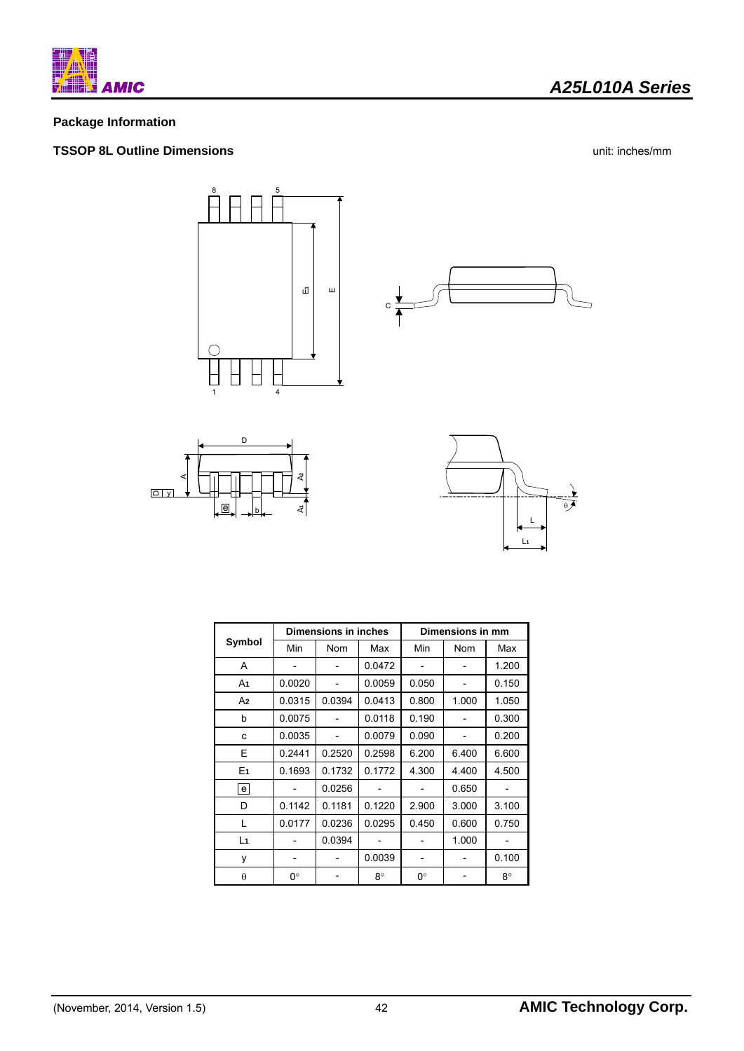![](_page_42_Picture_0.jpeg)

# *A25L010A Series*

# **Package Information**

### **TSSOP 8L Outline Dimensions** unit: inches/mm

![](_page_42_Figure_5.jpeg)

![](_page_42_Figure_6.jpeg)

![](_page_42_Figure_7.jpeg)

![](_page_42_Figure_8.jpeg)

|                   | Dimensions in inches |            |        | Dimensions in mm |            |       |  |
|-------------------|----------------------|------------|--------|------------------|------------|-------|--|
| Symbol            | Min                  | <b>Nom</b> | Max    | Min              | <b>Nom</b> | Max   |  |
| A                 |                      |            | 0.0472 |                  |            | 1.200 |  |
| A1                | 0.0020               |            | 0.0059 | 0.050            |            | 0.150 |  |
| A2                | 0.0315               | 0.0394     | 0.0413 | 0.800            | 1.000      | 1.050 |  |
| b                 | 0.0075               |            | 0.0118 | 0.190            |            | 0.300 |  |
| c                 | 0.0035               |            | 0.0079 | 0.090            |            | 0.200 |  |
| E                 | 0.2441               | 0.2520     | 0.2598 | 6.200            | 6.400      | 6.600 |  |
| E <sub>1</sub>    | 0.1693               | 0.1732     | 0.1772 | 4.300            | 4.400      | 4.500 |  |
| $\lceil e \rceil$ |                      | 0.0256     |        |                  | 0.650      |       |  |
| D                 | 0.1142               | 0.1181     | 0.1220 | 2.900            | 3.000      | 3.100 |  |
| L                 | 0.0177               | 0.0236     | 0.0295 | 0.450            | 0.600      | 0.750 |  |
| L <sub>1</sub>    |                      | 0.0394     |        |                  | 1.000      |       |  |
| y                 |                      |            | 0.0039 |                  |            | 0.100 |  |
| $\theta$          | 0°                   |            | 8°     | 0°               |            | 8°    |  |